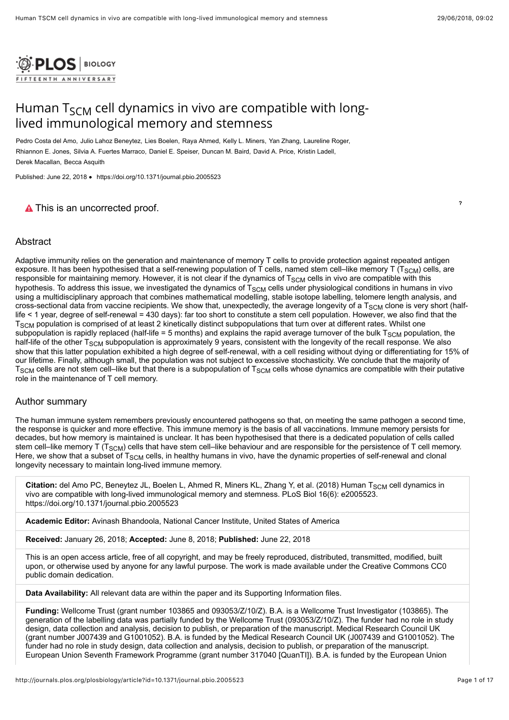

# Human T<sub>SCM</sub> cell dynamics in vivo are compatible with longlived immunological memory and stemness

Pedro Costa del Amo, Julio Lahoz Beneytez, Lies Boelen, Raya Ahmed, Kelly L. Miners, Yan Zhang, Laureline Roger, Rhiannon E. Jones, Silvia A. Fuertes Marraco, Daniel E. Speiser, Duncan M. Baird, David A. Price, Kristin Ladell, Derek Macallan, Becca Asquith

Published: June 22, 2018 • <https://doi.org/10.1371/journal.pbio.2005523>

# **A** This is an uncorrected proof.

# Abstract

Adaptive immunity relies on the generation and maintenance of memory T cells to provide protection against repeated antigen exposure. It has been hypothesised that a self-renewing population of T cells, named stem cell–like memory T (T $_{\rm SCM}$ ) cells, are responsible for maintaining memory. However, it is not clear if the dynamics of  ${\sf T}_{\sf SCM}$  cells in vivo are compatible with this hypothesis. To address this issue, we investigated the dynamics of T $_{\rm SCM}$  cells under physiological conditions in humans in vivo using a multidisciplinary approach that combines mathematical modelling, stable isotope labelling, telomere length analysis, and cross-sectional data from vaccine recipients. We show that, unexpectedly, the average longevity of a T $_{\rm SCM}$  clone is very short (halflife < 1 year, degree of self-renewal = 430 days): far too short to constitute a stem cell population. However, we also find that the  ${\rm \tau_{s cm}}$  population is comprised of at least 2 kinetically distinct subpopulations that turn over at different rates. Whilst one subpopulation is rapidly replaced (half-life = 5 months) and explains the rapid average turnover of the bulk T $_{\rm SCM}$  population, the half-life of the other T<sub>SCM</sub> subpopulation is approximately 9 years, consistent with the longevity of the recall response. We also show that this latter population exhibited a high degree of self-renewal, with a cell residing without dying or differentiating for 15% of our lifetime. Finally, although small, the population was not subject to excessive stochasticity. We conclude that the majority of  ${\rm T_{SCM}}$  cells are not stem cell–like but that there is a subpopulation of  ${\rm T_{SCM}}$  cells whose dynamics are compatible with their putative role in the maintenance of T cell memory.

# Author summary

The human immune system remembers previously encountered pathogens so that, on meeting the same pathogen a second time, the response is quicker and more effective. This immune memory is the basis of all vaccinations. Immune memory persists for decades, but how memory is maintained is unclear. It has been hypothesised that there is a dedicated population of cells called stem cell–like memory T (T $_{\rm SCM}$ ) cells that have stem cell–like behaviour and are responsible for the persistence of T cell memory. Here, we show that a subset of T $_{\rm SCM}$  cells, in healthy humans in vivo, have the dynamic properties of self-renewal and clonal longevity necessary to maintain long-lived immune memory.

**Citation:** del Amo PC, Beneytez JL, Boelen L, Ahmed R, Miners KL, Zhang Y, et al. (2018) Human T<sub>SCM</sub> cell dynamics in vivo are compatible with long-lived immunological memory and stemness. PLoS Biol 16(6): e2005523. https://doi.org/10.1371/journal.pbio.2005523

**Academic Editor:** Avinash Bhandoola, National Cancer Institute, United States of America

**Received:** January 26, 2018; **Accepted:** June 8, 2018; **Published:** June 22, 2018

This is an open access article, free of all copyright, and may be freely reproduced, distributed, transmitted, modified, built upon, or otherwise used by anyone for any lawful purpose. The work is made available under the [Creative Commons CC0](https://creativecommons.org/publicdomain/zero/1.0/) public domain dedication.

**Data Availability:** All relevant data are within the paper and its Supporting Information files.

**Funding:** Wellcome Trust (grant number 103865 and 093053/Z/10/Z). B.A. is a Wellcome Trust Investigator (103865). The generation of the labelling data was partially funded by the Wellcome Trust (093053/Z/10/Z). The funder had no role in study design, data collection and analysis, decision to publish, or preparation of the manuscript. Medical Research Council UK (grant number J007439 and G1001052). B.A. is funded by the Medical Research Council UK (J007439 and G1001052). The funder had no role in study design, data collection and analysis, decision to publish, or preparation of the manuscript. European Union Seventh Framework Programme (grant number 317040 [QuanTI]). B.A. is funded by the European Union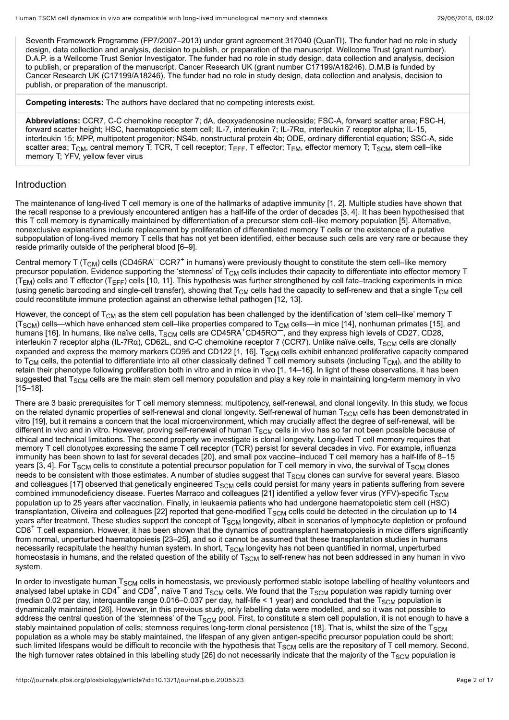Seventh Framework Programme (FP7/2007–2013) under grant agreement 317040 (QuanTI). The funder had no role in study design, data collection and analysis, decision to publish, or preparation of the manuscript. Wellcome Trust (grant number). D.A.P. is a Wellcome Trust Senior Investigator. The funder had no role in study design, data collection and analysis, decision to publish, or preparation of the manuscript. Cancer Research UK (grant number C17199/A18246). D.M.B is funded by Cancer Research UK (C17199/A18246). The funder had no role in study design, data collection and analysis, decision to publish, or preparation of the manuscript.

**Competing interests:** The authors have declared that no competing interests exist.

**Abbreviations:** CCR7, C-C chemokine receptor 7; dA, deoxyadenosine nucleoside; FSC-A, forward scatter area; FSC-H, forward scatter height; HSC, haematopoietic stem cell; IL-7, interleukin 7; IL-7Rα, interleukin 7 receptor alpha; IL-15, interleukin 15; MPP, multipotent progenitor; NS4b, nonstructural protein 4b; ODE, ordinary differential equation; SSC-A, side scatter area; T<sub>CM</sub>, central memory T; TCR, T cell receptor; T<sub>EFF</sub>, T effector; T<sub>EM</sub>, effector memory T; T<sub>SCM</sub>, stem cell–like memory T; YFV, yellow fever virus

# Introduction

The maintenance of long-lived T cell memory is one of the hallmarks of adaptive immunity [\[1](#page-12-0), [2](#page-12-1)]. Multiple studies have shown that the recall response to a previously encountered antigen has a half-life of the order of decades [[3,](#page-12-2) [4\]](#page-12-3). It has been hypothesised that this T cell memory is dynamically maintained by differentiation of a precursor stem cell–like memory population [\[5](#page-12-4)]. Alternative, nonexclusive explanations include replacement by proliferation of differentiated memory T cells or the existence of a putative subpopulation of long-lived memory  $\bar{T}$  cells that has not yet been identified, either because such cells are very rare or because they reside primarily outside of the peripheral blood [\[6](#page-12-5)[–9](#page-13-0)].

Central memory T (T<sub>CM</sub>) cells (CD45RA<sup>—</sup>CCR7<sup>+</sup> in humans) were previously thought to constitute the stem cell–like memory precursor population. Evidence supporting the 'stemness' of T<sub>CM</sub> cells includes their capacity to differentiate into effector memory T (T<sub>EM</sub>) cells and T effector (T<sub>EFF</sub>) cells [\[10](#page-13-1), [11\]](#page-13-2). This hypothesis was further strengthened by cell fate–tracking experiments in mice (using genetic barcoding and single-cell transfer), showing that T $_{\rm CM}$  cells had the capacity to self-renew and that a single T $_{\rm CM}$  cell could reconstitute immune protection against an otherwise lethal pathogen [\[12,](#page-13-3) [13\]](#page-13-4).

However, the concept of T<sub>CM</sub> as the stem cell population has been challenged by the identification of 'stem cell–like' memory T (T<sub>SCM</sub>) cells—which have enhanced stem cell–like properties compared to T<sub>CM</sub> cells—in mice [[14\]](#page-13-5), nonhuman primates [\[15](#page-13-6)], and humans [[16\]](#page-13-7). In humans, like naïve cells, T<sub>SCM</sub> cells are CD45RA<sup>+</sup>CD45RO<sup>—</sup>, and they express high levels of CD27, CD28, interleukin 7 receptor alpha (IL-7Rα), CD62L, and C-C chemokine receptor 7 (CCR7). Unlike naïve cells, T<sub>SCM</sub> cells are clonally expanded and express the memory markers CD95 and CD122 [\[1](#page-12-0), [16\]](#page-13-7).  ${\rm T_{SCM}}$  cells exhibit enhanced proliferative capacity compared to T $_{\sf CM}$  cells, the potential to differentiate into all other classically defined T cell memory subsets (including T $_{\sf CM}$ ), and the ability to retain their phenotype following proliferation both in vitro and in mice in vivo [[1](#page-12-0), [14](#page-13-5)[–16](#page-13-7)]. In light of these observations, it has been suggested that T<sub>SCM</sub> cells are the main stem cell memory population and play a key role in maintaining long-term memory in vivo [[15–](#page-13-6)[18\]](#page-13-8).

There are 3 basic prerequisites for T cell memory stemness: multipotency, self-renewal, and clonal longevity. In this study, we focus on the related dynamic properties of self-renewal and clonal longevity. Self-renewal of human T $_{\rm SCM}$  cells has been demonstrated in vitro [\[19](#page-13-9)], but it remains a concern that the local microenvironment, which may crucially affect the degree of self-renewal, will be different in vivo and in vitro. However, proving self-renewal of human T $_{\rm SCM}$  cells in vivo has so far not been possible because of ethical and technical limitations. The second property we investigate is clonal longevity. Long-lived T cell memory requires that memory T cell clonotypes expressing the same T cell receptor (TCR) persist for several decades in vivo. For example, influenza immunity has been shown to last for several decades [[20\]](#page-13-10), and small pox vaccine–induced T cell memory has a half-life of 8–15 years [\[3](#page-12-2), [4\]](#page-12-3). For T<sub>SCM</sub> cells to constitute a potential precursor population for T cell memory in vivo, the survival of T<sub>SCM</sub> clones needs to be consistent with those estimates. A number of studies suggest that  ${\tt T_{SCM}}$  clones can survive for several years. Biasco and colleagues [\[17\]](#page-13-11) observed that genetically engineered T $_{\rm SCM}$  cells could persist for many years in patients suffering from severe combined immunodeficiency disease. Fuertes Marraco and colleagues [\[21](#page-13-12)] identified a yellow fever virus (YFV)-specific T $_{\rm SCM}$ population up to 25 years after vaccination. Finally, in leukaemia patients who had undergone haematopoietic stem cell (HSC) transplantation, Oliveira and colleagues [[22](#page-13-13)] reported that gene-modified T $_{\rm SCM}$  cells could be detected in the circulation up to 14 years after treatment. These studies support the concept of T<sub>SCM</sub> longevity, albeit in scenarios of lymphocyte depletion or profound years after treatment. These studies support the concept or T<sub>SCM</sub> longevity, albeit in scenarios or lympnocyte depletion or profound<br>CD8<sup>+</sup> T cell expansion. However, it has been shown that the dynamics of posttransplant from normal, unperturbed haematopoiesis [[23–](#page-13-14)[25\]](#page-14-0), and so it cannot be assumed that these transplantation studies in humans necessarily recapitulate the healthy human system. In short,  ${\tt T_{SCM}}$  longevity has not been quantified in normal, unperturbed homeostasis in humans, and the related question of the ability of T $_{\rm SCM}$  to self-renew has not been addressed in any human in vivo system.

In order to investigate human  $T_{SCM}$  cells in homeostasis, we previously performed stable isotope labelling of healthy volunteers and in order to investigate numan T<sub>SCM</sub> cells in nomeostasis, we previously performed stable isotope labelling of nealthy volunteers<br>analysed label uptake in CD4<sup>+</sup> and CD8<sup>+</sup>, naïve T and T<sub>SCM</sub> cells. We found that the T<sub>S</sub> (median 0.02 per day, interquantile range 0.016–0.037 per day, half-life < 1 year) and concluded that the T $_{\rm SCM}$  population is dynamically maintained [[26](#page-14-1)]. However, in this previous study, only labelling data were modelled, and so it was not possible to address the central question of the 'stemness' of the T $_{\rm SCM}$  pool. First, to constitute a stem cell population, it is not enough to have a stably maintained population of cells; stemness requires long-term clonal persistence [\[18](#page-13-8)]. That is, whilst the size of the T $_{\rm SCM}$ population as a whole may be stably maintained, the lifespan of any given antigen-specific precursor population could be short; such limited lifespans would be difficult to reconcile with the hypothesis that  $T_{\rm SCM}$  cells are the repository of T cell memory. Second, the high turnover rates obtained in this labelling study [[26\]](#page-14-1) do not necessarily indicate that the majority of the T $_{\rm SCM}$  population is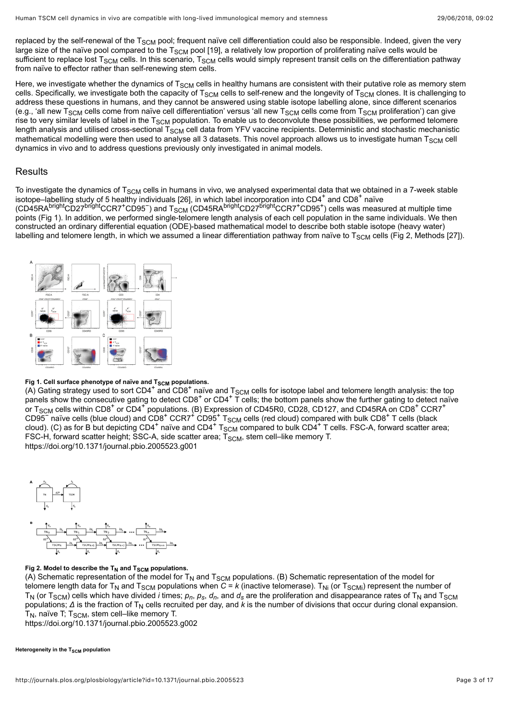replaced by the self-renewal of the T $_{\rm SCM}$  pool; frequent naïve cell differentiation could also be responsible. Indeed, given the very large size of the naïve pool compared to the T $_{\rm SCM}$  pool [\[19](#page-13-9)], a relatively low proportion of proliferating naïve cells would be sufficient to replace lost T $_{\rm SCM}$  cells. In this scenario, T $_{\rm SCM}$  cells would simply represent transit cells on the differentiation pathway from naïve to effector rather than self-renewing stem cells.

Here, we investigate whether the dynamics of T $_{\rm SCM}$  cells in healthy humans are consistent with their putative role as memory stem cells. Specifically, we investigate both the capacity of T<sub>SCM</sub> cells to self-renew and the longevity of T<sub>SCM</sub> clones. It is challenging to address these questions in humans, and they cannot be answered using stable isotope labelling alone, since different scenarios (e.g., 'all new T<sub>SCM</sub> cells come from naïve cell differentiation' versus 'all new T<sub>SCM</sub> cells come from T<sub>SCM</sub> proliferation') can give rise to very similar levels of label in the T $_{\rm SCM}$  population. To enable us to deconvolute these possibilities, we performed telomere length analysis and utilised cross-sectional T $_{\rm SCM}$  cell data from YFV vaccine recipients. Deterministic and stochastic mechanistic mathematical modelling were then used to analyse all 3 datasets. This novel approach allows us to investigate human T $_{\rm SCM}$  cell dynamics in vivo and to address questions previously only investigated in animal models.

# Results

To investigate the dynamics of  $T_{SCM}$  cells in humans in vivo, we analysed experimental data that we obtained in a 7-week stable isotope–labelling study of 5 healthy individuals [\[26](#page-14-1)], in which label incorporation into CD4 $^{\rm +}$  and CD8 $^{\rm +}$  naïve (CD45RA<sup>prignt</sup>CD27<sup>prignt</sup>CCR7<sup>+</sup>CD95 ) and T<sub>SCM</sub> (CD45RA<sup>prignt</sup>CD27<sup>prignt</sup>CCR7<sup>+</sup>CD95<sup>+</sup>) cells was measured at multiple time points ([Fig 1](#page-2-0)). In addition, we performed single-telomere length analysis of each cell population in the same individuals. We then constructed an ordinary differential equation (ODE)-based mathematical model to describe both stable isotope (heavy water) labelling and telomere length, in which we assumed a linear differentiation pathway from naïve to T<sub>SCM</sub> cells [\(Fig 2,](#page-2-1) Methods [[27](#page-14-2)]). SCM cells in numans in vivo, we analysed experimental data that we<br>thy individuals [26], in which label incorporation into CD4<sup>+</sup> and CD8<sup>+</sup> bright $\rm \check{CD}$ 27<sup>bright</sup>CCR7<sup>+</sup>CD95<sup>-</sup>) and T<sub>SCM</sub> (CD45RA<sup>bright</sup>CD27<sup>bright</sup>CCR7<sup>+</sup>CD95<sup>+</sup>

<span id="page-2-0"></span>

# **Fig 1. Cell surface phenotype of naïve and T<sub>SCM</sub> populations.**

right can surface prenotype of naive and insemipopulations.<br>(A) Gating strategy used to sort CD4<sup>+</sup> and CD8<sup>+</sup> naïve and T<sub>SCM</sub> cells for isotope label and telomere length analysis: the top<br>panels show the consequitive gat panels show the consecutive gating to detect  $CDB^+$  or  $CD4^+$  T cells; the bottom panels show the further gating to detect naïve or T<sub>SCM</sub> cells within CD8<sup>+</sup> or CD4<sup>+</sup> populations. (B) Expression of CD45R0, CD28, CD127, and CD45RA on CD8<sup>+</sup> CCR7<sup>+</sup> CD95<sup>–</sup> naïve cells (blue cloud) and CD8<sup>+</sup> CCR7<sup>+</sup> CD95<sup>+</sup> T<sub>SCM</sub> cells (red cloud) compared with bulk CD8<sup>+</sup> T cells (black cloud). (C) as for B but depicting CD4 $^+$  naïve and CD4 $^+$  T $_{\rm SCM}$  compared to bulk CD4 $^+$  T cells. FSC-A, forward scatter area; FSC-H, forward scatter height; SSC-A, side scatter area; T<sub>SCM</sub>, stem cell–like memory T. <https://doi.org/10.1371/journal.pbio.2005523.g001>  $\tilde{\text{F}}$  naïve cells (blue cloud) and CD8<sup>+</sup> CCR7<sup>+</sup> CD95<sup>+</sup> T<sub>SCM</sub> cells (red cloud) compared with bulk CD8<sup>+</sup>  $^+$  naïve and CD4 $^+$  T<sub>SCM</sub> compared to bulk CD4 $^+$ SCM

<span id="page-2-1"></span>

### Fig 2. Model to describe the  $\mathsf{T}_{\mathsf{N}}$  and  $\mathsf{T}_{\mathsf{SCM}}$  populations.

(A) Schematic representation of the model for T<sub>N</sub> and T<sub>SCM</sub> populations. (B) Schematic representation of the model for telomere length data for T<sub>N</sub> and T<sub>SCM</sub> populations when *C* = *k* (inactive telomerase). T<sub>Ni</sub> (or T<sub>SCMi</sub>) represent the number of  ${\sf T}_{\sf N}$  (or T<sub>SCM</sub>) cells which have divided *i* times;  $p_n$ ,  $p_s$ ,  $d_n$ , and  $d_s$  are the proliferation and disappearance rates of T<sub>N</sub> and T<sub>SCM</sub> populations; Δ is the fraction of T<sub>N</sub> cells recruited per day, and *k* is the number of divisions that occur during clonal expansion.  ${\sf T}_{\sf N}$ , naïve T;  ${\sf T}_{\sf SCM}$ , stem cell–like memory T.

<https://doi.org/10.1371/journal.pbio.2005523.g002>

**Heterogeneity in the T<sub>SCM</sub> population**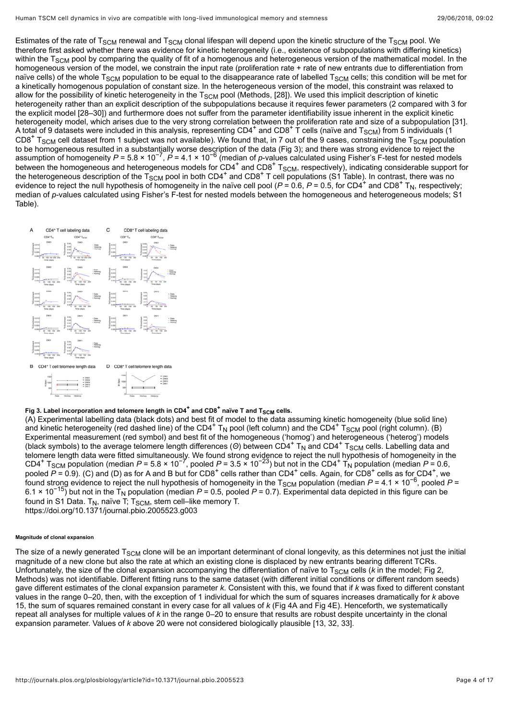Estimates of the rate of T<sub>SCM</sub> renewal and T<sub>SCM</sub> clonal lifespan will depend upon the kinetic structure of the T<sub>SCM</sub> pool. We therefore first asked whether there was evidence for kinetic heterogeneity (i.e., existence of subpopulations with differing kinetics) within the T $_{\rm SCM}$  pool by comparing the quality of fit of a homogenous and heterogeneous version of the mathematical model. In the homogeneous version of the model, we constrain the input rate (proliferation rate + rate of new entrants due to differentiation from naïve cells) of the whole T $_{\rm SCM}$  population to be equal to the disappearance rate of labelled T $_{\rm SCM}$  cells; this condition will be met for a kinetically homogenous population of constant size. In the heterogeneous version of the model, this constraint was relaxed to allow for the possibility of kinetic heterogeneity in the T $_{\rm SCM}$  pool (Methods, [\[28](#page-14-3)]). We used this implicit description of kinetic heterogeneity rather than an explicit description of the subpopulations because it requires fewer parameters (2 compared with 3 for the explicit model [[28–](#page-14-3)[30\]](#page-14-4)) and furthermore does not suffer from the parameter identifiability issue inherent in the explicit kinetic heterogeneity model, which arises due to the very strong correlation between the proliferation rate and size of a subpopulation [\[31\]](#page-14-5). A total of 9 datasets were included in this analysis, representing CD4<sup>+</sup> and CD8<sup>+</sup> T cells (naïve and T<sub>SCM</sub>) from 5 individuals (1<br>CD8<sup>+</sup> T<sub>SCM</sub> cell dataset from 1 subject was not available). We found that, in 7 out o  $CDB<sup>+</sup> T<sub>SCM</sub>$  cell dataset from 1 subject was not available). We found that, in 7 out of the 9 cases, constraining the  $T<sub>SCM</sub>$  population to be homogeneous resulted in a substantially worse description of the data [\(Fig 3\)](#page-3-0); and there was strong evidence to reject the assumption of homogeneity *P* = 5.8 × 10<sup>-7</sup>, *P* = 4.1 × 10<sup>-6</sup> (median of *p*-values calculated using Fisher's F-test for nested models between the homogeneous and heterogeneous models for CD4<sup>+</sup> and CD8<sup>+</sup> T<sub>SCM</sub>, respectively), indicating considerable support for the heterogeneous description of the T<sub>SCM</sub> pool in both CD4<sup>+</sup> and CD8<sup>+</sup> T cell populations [\(S1 Table\)](#page-12-6). In contrast, there was no evidence to reject the null hypothesis of homogeneity in the naïve cell pool ( $P = 0.6$ ,  $P = 0.5$ , for CD4<sup>+</sup> and CD8<sup>+</sup> T<sub>N</sub>, respectively; median of *p*[-values calculated using Fisher's F-test for nested models between the homogeneous and heterogeneous models; S1](#page-12-6) Table).  $-7$   $p = 4.1 \times 10^{-6}$  $^+$  and  $CD8$ <sup>+</sup>  $T_{SCM}$  $\rm_{SCM}$  pool in both CD4<sup>+</sup> and CD8<sup>+</sup>

<span id="page-3-0"></span>

# Fig 3. Label incorporation and telomere length in  $CD4^+$  and  $CD8^+$  naïve T and  $T_{SCM}$  cells.

(A) Experimental labelling data (black dots) and best fit of model to the data assuming kinetic homogeneity (blue solid line) and kinetic heterogeneity (red dashed line) of the CD4<sup>+</sup> T<sub>N</sub> pool (left column) and the CD4<sup>+</sup> T<sub>SCM</sub> pool (right column). (B) Experimental measurement (red symbol) and best fit of the homogeneous ('homog') and heterogeneous ('heterog') models (black symbols) to the average telomere length differences (Θ) between CD4<sup>+</sup> T<sub>N</sub> and CD4<sup>+</sup> T<sub>SCM</sub> cells. Labelling data and telomere length data were fitted simultaneously. We found strong evidence to reject the null hypothesis of homogeneity in the CD4<sup>+</sup> T<sub>SCM</sub> population (median  $P = 5.8 \times 10^{-7}$ , pooled  $P = 3.5 \times 10^{-23}$ ) but not in the CD4<sup>+</sup> T<sub>N</sub> population (median  $P = 0.6$ , CD4<sup>+</sup> T<sub>SCM</sub> population (median *P* = 5.8 × 10<sup>-7</sup>, pooled *P* = 3.5 × 10<sup>-23</sup>) but not in the CD4<sup>+</sup> T<sub>N</sub> population (median *P* = 0.6,<br>pooled *P* = 0.9). (C) and (D) as for A and B but for CD8<sup>+</sup> cells rather than CD4<sup></sup> .<br>found strong evidence to reject the null hypothesis of homogeneity in the T<sub>SCM</sub> population (median *P* = 4.1 × 10<sup>−6</sup>, pooled *P* =  $6.1 \times 10^{-15}$ ) but not in the T<sub>N</sub> population (median *P* = 0.5, pooled *P* = 0.7). Experimental data depicted in this figure can be found in [S1 Data](#page-12-7). T<sub>N</sub>, naïve T; T<sub>SCM</sub>, stem cell–like memory T.

<https://doi.org/10.1371/journal.pbio.2005523.g003>

#### **Magnitude of clonal expansion**

<span id="page-3-1"></span>The size of a newly generated T $_{\rm SCM}$  clone will be an important determinant of clonal longevity, as this determines not just the initial magnitude of a new clone but also the rate at which an existing clone is displaced by new entrants bearing different TCRs. Unfortunately, the size of the clonal expansion accompanying the differentiation of naïve to T $_{\rm SCM}$  cells (*k* in the model; [Fig 2](#page-2-1), Methods) was not identifiable. Different fitting runs to the same dataset (with different initial conditions or different random seeds) gave different estimates of the clonal expansion parameter *k*. Consistent with this, we found that if *k* was fixed to different constant values in the range 0–20, then, with the exception of 1 individual for which the sum of squares increases dramatically for *k* above 15, the sum of squares remained constant in every case for all values of *k* [\(Fig 4A](#page-3-1) and [Fig 4E](#page-3-1)). Henceforth, we systematically repeat all analyses for multiple values of *k* in the range 0–20 to ensure that results are robust despite uncertainty in the clonal expansion parameter. Values of *k* above 20 were not considered biologically plausible [\[13,](#page-13-4) [32,](#page-14-6) [33](#page-14-7)].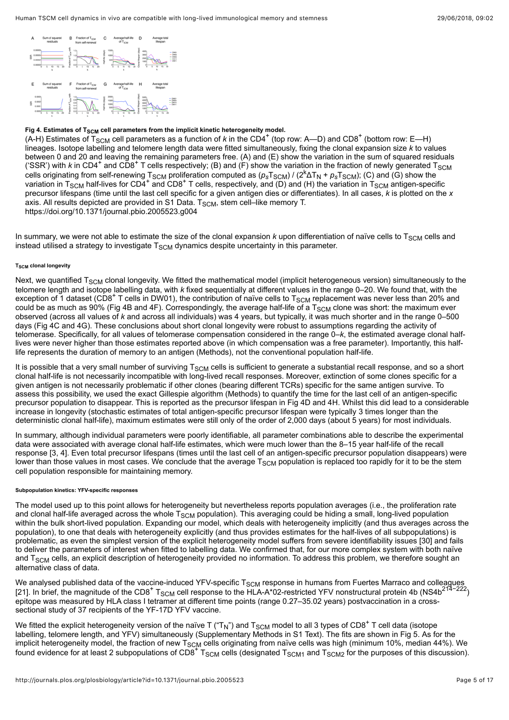

# Fig 4. Estimates of T<sub>SCM</sub> cell parameters from the implicit kinetic heterogeneity model.

(A-H) Estimates of T<sub>SCM</sub> cell parameters as a function of *k* in the CD4<sup>+</sup> (top row: A—D) and CD8<sup>+</sup> (bottom row: E—H) lineages. Isotope labelling and telomere length data were fitted simultaneously, fixing the clonal expansion size *k* to values between 0 and 20 and leaving the remaining parameters free. (A) and (E) show the variation in the sum of squared residuals ('SSR') with *k* in CD4<sup>+</sup> and CD8<sup>+</sup> T cells respectively; (B) and (F) show the variation in the fraction of newly generated T<sub>SCM</sub> cells originating from self-renewing T<sub>SCM</sub> proliferation computed as (ρ<sub>s</sub>T<sub>SCM</sub>) / (2<sup>k</sup>ΔT<sub>N</sub> + ρ<sub>s</sub>T<sub>SCM</sub>); (C) and (G) show the variation in T<sub>SCM</sub> half-lives for CD4<sup>+</sup> and CD8<sup>+</sup> T cells, respectively, and (D) and (H) the variation in T<sub>SCM</sub> antigen-specific precursor lifespans (time until the last cell specific for a given antigen dies or differentiates). In all cases, *k* is plotted on the *x* axis. All results depicted are provided in [S1 Data.](#page-12-7)  $T_{\rm SCM}$ , stem cell–like memory T. <https://doi.org/10.1371/journal.pbio.2005523.g004>  $_{\rm SCM}$  cell parameters as a function of k in the CD4<sup>+</sup> (top row: A—D) and CD8<sup>+</sup>

In summary, we were not able to estimate the size of the clonal expansion *k* upon differentiation of naïve cells to T $_{\rm SCM}$  cells and instead utilised a strategy to investigate  ${\sf T}_{\sf SCM}$  dynamics despite uncertainty in this parameter.

#### $\mathsf{T}_{\mathsf{SCM}}$  clonal longevity

Next, we quantified T<sub>SCM</sub> clonal longevity. We fitted the mathematical model (implicit heterogeneous version) simultaneously to the telomere length and isotope labelling data, with *k* fixed sequentially at different values in the range 0–20. We found that, with the exception of 1 dataset (CD8<sup>+</sup> T cells in DW01), the contribution of naïve cells to T<sub>SCM</sub> replacement was never less than 20% and could be as much as 90% [\(Fig 4B and 4F](#page-3-1)). Correspondingly, the average half-life of a T $_{\rm SCM}$  clone was short: the maximum ever observed (across all values of *k* and across all individuals) was 4 years, but typically, it was much shorter and in the range 0–500 days ([Fig 4C and 4G](#page-3-1)). These conclusions about short clonal longevity were robust to assumptions regarding the activity of telomerase. Specifically, for all values of telomerase compensation considered in the range 0–*k*, the estimated average clonal halflives were never higher than those estimates reported above (in which compensation was a free parameter). Importantly, this halflife represents the duration of memory to an antigen (Methods), not the conventional population half-life.

It is possible that a very small number of surviving T $_{\rm SCM}$  cells is sufficient to generate a substantial recall response, and so a short clonal half-life is not necessarily incompatible with long-lived recall responses. Moreover, extinction of some clones specific for a given antigen is not necessarily problematic if other clones (bearing different TCRs) specific for the same antigen survive. To assess this possibility, we used the exact Gillespie algorithm (Methods) to quantify the time for the last cell of an antigen-specific precursor population to disappear. This is reported as the precursor lifespan in [Fig 4D and 4H.](#page-3-1) Whilst this did lead to a considerable increase in longevity (stochastic estimates of total antigen-specific precursor lifespan were typically 3 times longer than the deterministic clonal half-life), maximum estimates were still only of the order of 2,000 days (about 5 years) for most individuals.

In summary, although individual parameters were poorly identifiable, all parameter combinations able to describe the experimental data were associated with average clonal half-life estimates, which were much lower than the 8–15 year half-life of the recall response [[3,](#page-12-2) [4\]](#page-12-3). Even total precursor lifespans (times until the last cell of an antigen-specific precursor population disappears) were lower than those values in most cases. We conclude that the average T<sub>SCM</sub> population is replaced too rapidly for it to be the stem cell population responsible for maintaining memory.

### **Subpopulation kinetics: YFV-specific responses**

The model used up to this point allows for heterogeneity but nevertheless reports population averages (i.e., the proliferation rate and clonal half-life averaged across the whole T $_{\rm SCM}$  population). This averaging could be hiding a small, long-lived population within the bulk short-lived population. Expanding our model, which deals with heterogeneity implicitly (and thus averages across the population), to one that deals with heterogeneity explicitly (and thus provides estimates for the half-lives of all subpopulations) is problematic, as even the simplest version of the explicit heterogeneity model suffers from severe identifiability issues [[30\]](#page-14-4) and fails to deliver the parameters of interest when fitted to labelling data. We confirmed that, for our more complex system with both naïve and T $_{\rm SCM}$  cells, an explicit description of heterogeneity provided no information. To address this problem, we therefore sought an alternative class of data.

We analysed published data of the vaccine-induced YFV-specific T<sub>SCM</sub> response in humans from Fuertes Marraco and colleagues we analysed published data of the vaccine-induced YFV-specific T<sub>SCM</sub> response in numans from Fuertes Marraco and colleagues<br>[[21\]](#page-13-12). In brief, the magnitude of the CD8<sup>+</sup> T<sub>SCM</sub> cell response to the HLA-A\*02-restricted YFV epitope was measured by HLA class I tetramer at different time points (range 0.27–35.02 years) postvaccination in a crosssectional study of 37 recipients of the YF-17D YFV vaccine.

We fitted the explicit heterogeneity version of the naïve T ("T<sub>N</sub>") and T<sub>SCM</sub> model to all 3 types of CD8<sup>+</sup> T cell data (isotope labelling, telomere length, and YFV) simultaneously (Supplementary Methods in [S1 Text](#page-12-8)). The fits are shown in [Fig 5](#page-5-0). As for the implicit heterogeneity model, the fraction of new T<sub>SCM</sub> cells originating from naïve cells was high (minimum 10%, median 44%). We implicit neterogeneity model, the fraction of new T<sub>SCM</sub> cells originating from nalve cells was high (minimum 10%, median 44%). We<br>found evidence for at least 2 subpopulations of CD8<sup>+</sup> T<sub>SCM</sub> cells (designated T<sub>SCM1</sub> and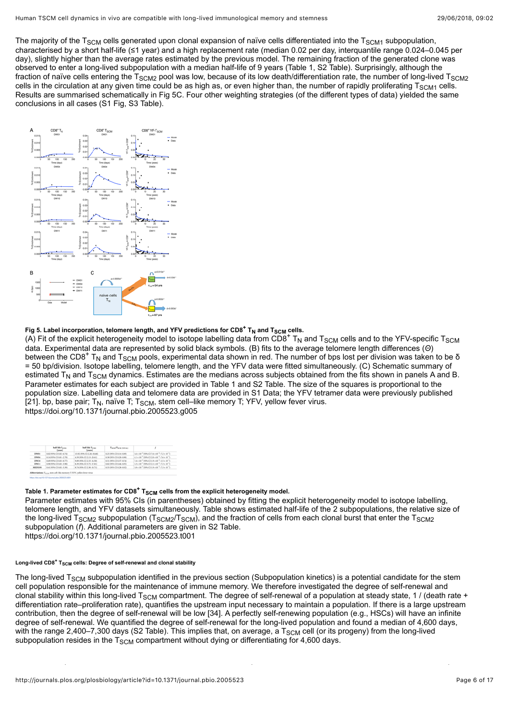The majority of the T<sub>SCM</sub> cells generated upon clonal expansion of naïve cells differentiated into the T<sub>SCM1</sub> subpopulation, characterised by a short half-life (≤1 year) and a high replacement rate (median 0.02 per day, interquantile range 0.024–0.045 per day), slightly higher than the average rates estimated by the previous model. The remaining fraction of the generated clone was observed to enter a long-lived subpopulation with a median half-life of 9 years ([Table 1](#page-5-1), [S2 Table\)](#page-12-9). Surprisingly, although the fraction of naïve cells entering the T $_{\rm SCM2}$  pool was low, because of its low death/differentiation rate, the number of long-lived T $_{\rm SCM2}$ cells in the circulation at any given time could be as high as, or even higher than, the number of rapidly proliferating T $_{\rm SCM1}$  cells. Results are summarised schematically in [Fig 5C.](#page-5-0) Four other weighting strategies (of the different types of data) yielded the same conclusions in all cases ([S1 Fig](#page-11-0), [S3 Table\)](#page-12-10).

<span id="page-5-0"></span>

# Fig 5. Label incorporation, telomere length, and YFV predictions for CD8<sup>+</sup> T<sub>N</sub> and T<sub>SCM</sub> cells.

Fi<mark>g 5. Label incorporation, telomere length, and YFV predictions for CD8<sup>+</sup> T<sub>N</sub> and T<sub>SCM</sub> cells.<br>(A) Fit of the explicit heterogeneity model to isotope labelling data from CD8<sup>+</sup> T<sub>N</sub> and T<sub>SCM</sub> cells and to the YFV-spe</mark> data. Experimental data are represented by solid black symbols. (B) fits to the average telomere length differences (*Θ*) between the CD8<sup>+</sup> T<sub>N</sub> and T<sub>SCM</sub> pools, experimental data shown in red. The number of bps lost per division was taken to be δ = 50 bp/division. Isotope labelling, telomere length, and the YFV data were fitted simultaneously. (C) Schematic summary of estimated T<sub>N</sub> and T<sub>SCM</sub> dynamics. Estimates are the medians across subjects obtained from the fits shown in panels A and B. Parameter estimates for each subject are provided in [Table 1](#page-5-1) and [S2 Table](#page-12-9). The size of the squares is proportional to the population size. Labelling data and telomere data are provided in [S1 Data;](#page-12-7) the YFV tetramer data were previously published [[21](#page-13-12)]. bp, base pair; T<sub>N</sub>, naïve T; T<sub>SCM</sub>, stem cell–like memory T; YFV, yellow fever virus. <https://doi.org/10.1371/journal.pbio.2005523.g005>

<span id="page-5-1"></span>

|               | <b>half life Target</b><br>[sears] | <b>Ball life Turner</b><br>[vears] | Tacag/Tacag monast        |                                                                                 |
|---------------|------------------------------------|------------------------------------|---------------------------|---------------------------------------------------------------------------------|
| <b>DW#1</b>   | 8.02 (99% CE0.02-6.74)             | 13:32 (95% CJ 2.26 - 20.68)        | 8.25 (95% CE0.14-8.89)    | 3.6 x 10 <sup>-9</sup> (90% CE7.6 x 10 <sup>-9</sup> -7.2 x 10 <sup>-9</sup> )  |
| <b>DW84</b>   | 0.14 (95% CE0.01-3.7%)             | 4.59 (97% CL2.15-20.41)            | 0.38 (95% CT-0.30-0.98)   | 4.1 x 10 <sup>-7</sup> (95% CE2.0 x 10 <sup>-7</sup> -7.6 x 10 <sup>-7</sup> ). |
| DW10          | 8.69 (95% CE0.05-8.77)             | 9:09 (93% CI 2.35-36.50)           | 8.51 (95% CE0.37-8.74)    | 2.6×10 <sup>-2</sup> 190% CEL9 x 10 <sup>-2</sup> -1.5 x 10 <sup>-1</sup> )     |
| DW11          | 6.90 (95% CT-5.03-3.98)            | 8.39 (93% CL3.75-17-81)            | 0.82 (95% CI 0.46-0.95)   | 3.5 x 10 <sup>-1</sup> (95% CE2.1 x 10 <sup>-1</sup> -7.5 x 10 <sup>-1</sup> )  |
| <b>MEDIAN</b> | 0.41 (95% CE0.02-3.90)             | 8.74 (97% CE2.30-18.71)            | 8.55 (97% CT 0.36, 8.92). | 3.8 x 10 <sup>-1</sup> (90% CEL9 x 10 <sup>-1</sup> -7.5 x 10 <sup>-1</sup> )   |

# Table 1. Parameter estimates for CD8<sup>+</sup> T<sub>SCM</sub> cells from the explicit heterogeneity model.

Parameter estimates with 95% CIs (in parentheses) obtained by fitting the explicit heterogeneity model to isotope labelling, telomere length, and YFV datasets simultaneously. Table shows estimated half-life of the 2 subpopulations, the relative size of the long-lived T<sub>SCM2</sub> subpopulation (T<sub>SCM2</sub>/T<sub>SCM</sub>), and the fraction of cells from each clonal burst that enter the T<sub>SCM2</sub> subpopulation (*f*). Additional parameters are given in [S2 Table](#page-12-9).

<https://doi.org/10.1371/journal.pbio.2005523.t001>

### $\tt Long-lived CD8<sup>+</sup> T<sub>SCM</sub> cells: Degree of self-renewal and clonal stability$

The long-lived T<sub>SCM</sub> subpopulation identified in the previous section (Subpopulation kinetics) is a potential candidate for the stem cell population responsible for the maintenance of immune memory. We therefore investigated the degree of self-renewal and clonal stability within this long-lived T<sub>SCM</sub> compartment. The degree of self-renewal of a population at steady state, 1 / (death rate + differentiation rate–proliferation rate), quantifies the upstream input necessary to maintain a population. If there is a large upstream contribution, then the degree of self-renewal will be low [\[34](#page-14-8)]. A perfectly self-renewing population (e.g., HSCs) will have an infinite degree of self-renewal. We quantified the degree of self-renewal for the long-lived population and found a median of 4,600 days, with the range 2,400–7,300 days [\(S2 Table\)](#page-12-9). This implies that, on average, a T $_{\rm SCM}$  cell (or its progeny) from the long-lived subpopulation resides in the T $_{\rm SCM}$  compartment without dying or differentiating for 4,600 days.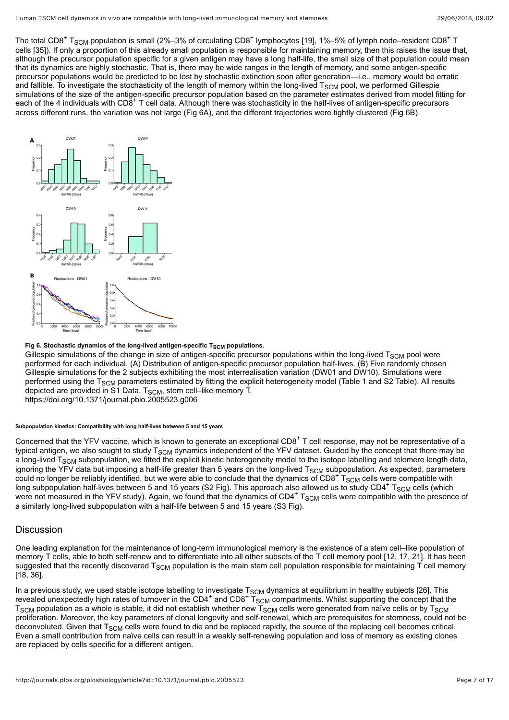The total CD8<sup>+</sup> T<sub>SCM</sub> population is small (2%–3% of circulating CD8<sup>+</sup> lymphocytes [\[19](#page-13-9)], 1%–5% of lymph node–resident CD8<sup>+</sup> T cells [\[35](#page-14-9)]). If only a proportion of this already small population is responsible for maintaining memory, then this raises the issue that, although the precursor population specific for a given antigen may have a long half-life, the small size of that population could mean that its dynamics are highly stochastic. That is, there may be wide ranges in the length of memory, and some antigen-specific precursor populations would be predicted to be lost by stochastic extinction soon after generation—i.e., memory would be erratic and fallible. To investigate the stochasticity of the length of memory within the long-lived T $_{\rm SCM}$  pool, we performed Gillespie simulations of the size of the antigen-specific precursor population based on the parameter estimates derived from model fitting for each of the 4 individuals with CD8<sup>+</sup> T cell data. Although there was stochasticity in the half-lives of antigen-specific precursors across different runs, the variation was not large ([Fig 6A](#page-6-0)), and the different trajectories were tightly clustered ([Fig 6B](#page-6-0)).

<span id="page-6-0"></span>

### Fig 6. Stochastic dynamics of the long-lived antigen-specific T<sub>SCM</sub> populations.

Gillespie simulations of the change in size of antigen-specific precursor populations within the long-lived T<sub>SCM</sub> pool were performed for each individual. (A) Distribution of antigen-specific precursor population half-lives. (B) Five randomly chosen Gillespie simulations for the 2 subjects exhibiting the most interrealisation variation (DW01 and DW10). Simulations were performed using the T<sub>SCM</sub> parameters estimated by fitting the explicit heterogeneity model ([Table 1](#page-5-1) and [S2 Table](#page-12-9)). All results depicted are provided in [S1 Data](#page-12-7).  $T_{\rm SCM}$ , stem cell–like memory T.

<https://doi.org/10.1371/journal.pbio.2005523.g006>

### **Subpopulation kinetics: Compatibility with long half-lives between 5 and 15 years**

Concerned that the YFV vaccine, which is known to generate an exceptional CD8<sup>+</sup> T cell response, may not be representative of a typical antigen, we also sought to study T $_{\rm SCM}$  dynamics independent of the YFV dataset. Guided by the concept that there may be a long-lived T<sub>SCM</sub> subpopulation, we fitted the explicit kinetic heterogeneity model to the isotope labelling and telomere length data, ignoring the YFV data but imposing a half-life greater than 5 years on the long-lived  $T_{SCM}$  subpopulation. As expected, parameters ignoring the YFV data but imposing a nair-life greater than 5 years on the long-lived TSCM subpopulation. As expected, parame<br>could no longer be reliably identified, but we were able to conclude that the dynamics of CD8<sup>+</sup> long subpopulation half-lives between 5 and 15 years ([S2 Fig](#page-11-1)). This approach also allowed us to study CD4<sup>+</sup> T<sub>SCM</sub> cells (which were not measured in the YFV study). Again, we found that the dynamics of  $CD4^+$  T<sub>SCM</sub> cells were compatible with the presence of a similarly long-lived subpopulation with a half-life between 5 and 15 years [\(S3 Fig\)](#page-11-2).

# **Discussion**

One leading explanation for the maintenance of long-term immunological memory is the existence of a stem cell–like population of memory T cells, able to both self-renew and to differentiate into all other subsets of the T cell memory pool [\[12](#page-13-3), [17,](#page-13-11) [21\]](#page-13-12). It has been suggested that the recently discovered T<sub>SCM</sub> population is the main stem cell population responsible for maintaining T cell memory [[18,](#page-13-8) [36\]](#page-14-10).

In a previous study, we used stable isotope labelling to investigate T<sub>SCM</sub> dynamics at equilibrium in healthy subjects [\[26\]](#page-14-1). This in a previous study, we used stable isotope labelling to investigate  $T_{\rm SCM}$  dynamics at equilibrium in nealthy subjects [26]. This<br>revealed unexpectedly high rates of turnover in the CD4<sup>+</sup> and CD8<sup>+</sup> T<sub>SCM</sub> compartmen  $\tau_{\rm SCM}$  population as a whole is stable, it did not establish whether new  $\tau_{\rm SCM}$  cells were generated from naïve cells or by  $\tau_{\rm SCM}$ proliferation. Moreover, the key parameters of clonal longevity and self-renewal, which are prerequisites for stemness, could not be deconvoluted. Given that T<sub>SCM</sub> cells were found to die and be replaced rapidly, the source of the replacing cell becomes critical. Even a small contribution from naïve cells can result in a weakly self-renewing population and loss of memory as existing clones are replaced by cells specific for a different antigen.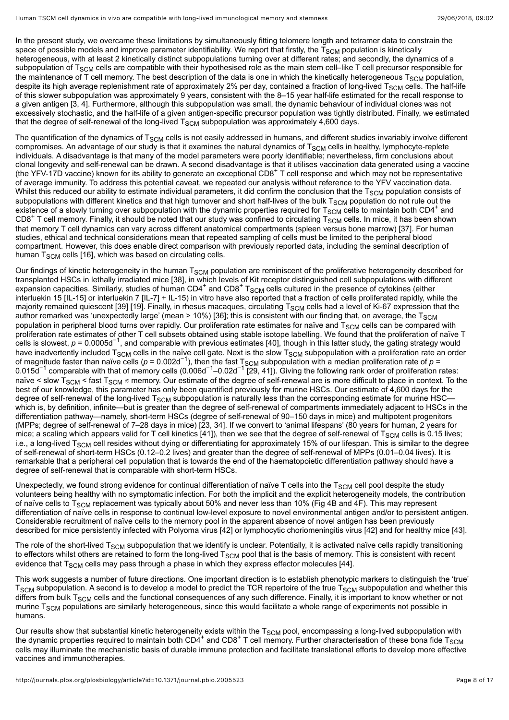In the present study, we overcame these limitations by simultaneously fitting telomere length and tetramer data to constrain the space of possible models and improve parameter identifiability. We report that firstly, the T $_{\rm SCM}$  population is kinetically heterogeneous, with at least 2 kinetically distinct subpopulations turning over at different rates; and secondly, the dynamics of a subpopulation of T<sub>SCM</sub> cells are compatible with their hypothesised role as the main stem cell–like T cell precursor responsible for the maintenance of T cell memory. The best description of the data is one in which the kinetically heterogeneous T $_{\rm SCM}$  population, despite its high average replenishment rate of approximately 2% per day, contained a fraction of long-lived T $_{\rm SCM}$  cells. The half-life of this slower subpopulation was approximately 9 years, consistent with the 8–15 year half-life estimated for the recall response to a given antigen [[3](#page-12-2), [4](#page-12-3)]. Furthermore, although this subpopulation was small, the dynamic behaviour of individual clones was not excessively stochastic, and the half-life of a given antigen-specific precursor population was tightly distributed. Finally, we estimated that the degree of self-renewal of the long-lived  ${\sf T}_{\sf SCM}$  subpopulation was approximately 4,600 days.

The quantification of the dynamics of T $_{\rm SCM}$  cells is not easily addressed in humans, and different studies invariably involve different compromises. An advantage of our study is that it examines the natural dynamics of T $_{\rm SCM}$  cells in healthy, lymphocyte-replete individuals. A disadvantage is that many of the model parameters were poorly identifiable; nevertheless, firm conclusions about clonal longevity and self-renewal can be drawn. A second disadvantage is that it utilises vaccination data generated using a vaccine (the YFV-17D vaccine) known for its ability to generate an exceptional CD8<sup>+</sup> T cell response and which may not be representative of average immunity. To address this potential caveat, we repeated our analysis without reference to the YFV vaccination data. Whilst this reduced our ability to estimate individual parameters, it did confirm the conclusion that the T $_{\rm SCM}$  population consists of subpopulations with different kinetics and that high turnover and short half-lives of the bulk T $_{\rm SCM}$  population do not rule out the existence of a slowly turning over subpopulation with the dynamic properties required for  $T_{SCM}$  cells to maintain both CD4<sup>+</sup> and CD8<sup>+</sup> T cell memory. Finally, it should be noted that our study was confined to circulating  $T_{\rm SCM}$  cells. In mice, it has been shown that memory T cell dynamics can vary across different anatomical compartments (spleen versus bone marrow) [[37\]](#page-14-11). For human studies, ethical and technical considerations mean that repeated sampling of cells must be limited to the peripheral blood compartment. However, this does enable direct comparison with previously reported data, including the seminal description of human T $_{\rm SCM}$  cells [\[16\]](#page-13-7), which was based on circulating cells.

Our findings of kinetic heterogeneity in the human T $_{\rm SCM}$  population are reminiscent of the proliferative heterogeneity described for transplanted HSCs in lethally irradiated mice [[38\]](#page-14-12), in which levels of Kit receptor distinguished cell subpopulations with different expansion capacities. Similarly, studies of human  $CD4^+$  and  $CD8^+$  T<sub>SCM</sub> cells cultured in the presence of cytokines (either interluekin 15 [IL-15] or interluekin 7 [IL-7] + IL-15) in vitro have also reported that a fraction of cells proliferated rapidly, while the majority remained quiescent [\[39](#page-14-13)] [[19](#page-13-9)]. Finally, in rhesus macaques, circulating T $_{\rm SCM}$  cells had a level of Ki-67 expression that the author remarked was 'unexpectedly large' (mean > 10%) [[36\]](#page-14-10); this is consistent with our finding that, on average, the T $_{\rm SCM}$ population in peripheral blood turns over rapidly. Our proliferation rate estimates for naïve and T $_{\rm SCM}$  cells can be compared with proliferation rate estimates of other T cell subsets obtained using stable isotope labelling. We found that the proliferation of naïve T cells is slowest, *p* = 0.0005d<sup>-1</sup>, and comparable with previous estimates [\[40](#page-15-0)], though in this latter study, the gating strategy would have inadvertently included  $T_{SCM}$  cells in the naïve cell gate. Next is the slow  $T_{SCM}$  subpopulation with a proliferation rate an order of magnitude faster than naïve cells (*p* = 0.002d<sup>-1</sup>), then the fast T<sub>SCM</sub> subpopulation with a median proliferation rate of *p* = 0.015d $^{-1}$  comparable with that of memory cells (0.006d $^{-1}$ –0.02d $^{-1}$  [[29](#page-14-14), [41](#page-15-1)]). Giving the following rank order of proliferation rates: naïve < slow T<sub>SCM</sub> < fast T<sub>SCM</sub> ≲ memory. Our estimate of the degree of self-renewal are is more difficult to place in context. To the best of our knowledge, this parameter has only been quantified previously for murine HSCs. Our estimate of 4,600 days for the degree of self-renewal of the long-lived T<sub>SCM</sub> subpopulation is naturally less than the corresponding estimate for murine HSC which is, by definition, infinite—but is greater than the degree of self-renewal of compartments immediately adjacent to HSCs in the differentiation pathway—namely, short-term HSCs (degree of self-renewal of 90–150 days in mice) and multipotent progenitors (MPPs; degree of self-renewal of 7–28 days in mice) [\[23](#page-13-14), [34](#page-14-8)]. If we convert to 'animal lifespans' (80 years for human, 2 years for mice; a scaling which appears valid for T cell kinetics [\[41\]](#page-15-1)), then we see that the degree of self-renewal of T<sub>SCM</sub> cells is 0.15 lives; i.e., a long-lived T $_{\rm SCM}$  cell resides without dying or differentiating for approximately 15% of our lifespan. This is similar to the degree of self-renewal of short-term HSCs (0.12–0.2 lives) and greater than the degree of self-renewal of MPPs (0.01–0.04 lives). It is remarkable that a peripheral cell population that is towards the end of the haematopoietic differentiation pathway should have a degree of self-renewal that is comparable with short-term HSCs.  $_{\rm SCM}$  cells in the naive cell gate. Next is the slow T $_{\rm SCM}$ <br>scells (n = 0.002d<sup>-1</sup>), then the fast Teau Subpopulation nitude faster than haive cells (p = 0.002d · ), then the fast 1 scM<br><sup>-1</sup> comparable with that of memory cells (0.006d<sup>-1</sup> -0.02d<sup>-1</sup> r20

Unexpectedly, we found strong evidence for continual differentiation of naïve T cells into the T $_{\rm SCM}$  cell pool despite the study volunteers being healthy with no symptomatic infection. For both the implicit and the explicit heterogeneity models, the contribution of naïve cells to T<sub>SCM</sub> replacement was typically about 50% and never less than 10% [\(Fig 4B and 4F\)](#page-3-1). This may represent differentiation of naïve cells in response to continual low-level exposure to novel environmental antigen and/or to persistent antigen. Considerable recruitment of naïve cells to the memory pool in the apparent absence of novel antigen has been previously described for mice persistently infected with Polyoma virus [\[42\]](#page-15-2) or lymphocytic choriomeningitis virus [\[42](#page-15-2)] and for healthy mice [[43\]](#page-15-3).

The role of the short-lived T<sub>SCM</sub> subpopulation that we identify is unclear. Potentially, it is activated naïve cells rapidly transitioning to effectors whilst others are retained to form the long-lived T<sub>SCM</sub> pool that is the basis of memory. This is consistent with recent evidence that T $_{\rm SCM}$  cells may pass through a phase in which they express effector molecules [\[44](#page-15-4)].

This work suggests a number of future directions. One important direction is to establish phenotypic markers to distinguish the 'true'  ${\rm \tau_{SCM}}$  subpopulation. A second is to develop a model to predict the TCR repertoire of the true  ${\rm \tau_{SCM}}$  subpopulation and whether this differs from bulk T<sub>SCM</sub> cells and the functional consequences of any such difference. Finally, it is important to know whether or not murine T $_{\rm SCM}$  populations are similarly heterogeneous, since this would facilitate a whole range of experiments not possible in humans.

Our results show that substantial kinetic heterogeneity exists within the  $T_{SCM}$  pool, encompassing a long-lived subpopulation with Our results show that substantial kinetic neterogeneity exists within the T<sub>SCM</sub> pool, encompassing a long-lived subpopulation with<br>the dynamic properties required to maintain both CD4<sup>+</sup> and CD8<sup>+</sup> T cell memory. Further cells may illuminate the mechanistic basis of durable immune protection and facilitate translational efforts to develop more effective vaccines and immunotherapies.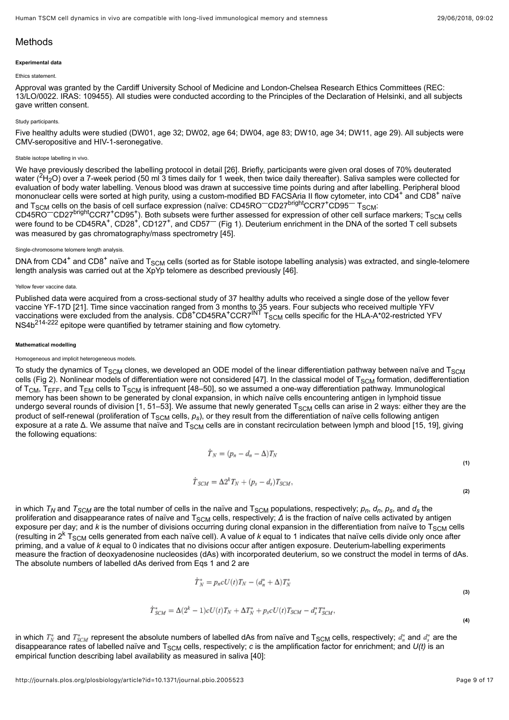# Methods

#### **Experimental data**

#### Ethics statement.

Approval was granted by the Cardiff University School of Medicine and London-Chelsea Research Ethics Committees (REC: 13/LO/0022. IRAS: 109455). All studies were conducted according to the Principles of the Declaration of Helsinki, and all subjects gave written consent.

#### Study participants.

Five healthy adults were studied (DW01, age 32; DW02, age 64; DW04, age 83; DW10, age 34; DW11, age 29). All subjects were CMV-seropositive and HIV-1-seronegative.

### Stable isotope labelling in vivo.

We have previously described the labelling protocol in detail [[26](#page-14-1)]. Briefly, participants were given oral doses of 70% deuterated water  $(^{2}H_{2}O)$  over a 7-week period (50 ml 3 times daily for 1 week, then twice daily thereafter). Saliva samples were collected for evaluation of body water labelling. Venous blood was drawn at successive time points during and after labelling. Peripheral blood mononuclear cells were sorted at high purity, using a custom-modified BD FACSAria II flow cytometer, into CD4<sup>+</sup> and CD8<sup>+</sup> naïve and T<sub>SCM</sub> cells on the basis of cell surface expression (naïve: CD45RO<sup>-</sup>CD27<sup>bright</sup>CCR7<sup>+</sup>CD95<sup>-</sup> T<sub>SCM</sub>: and T<sub>SCM</sub> cells on the basis of cell surface expression (naïve: CD45RO<sup>—</sup>CD27<sup>bright</sup>CCR7<sup>+</sup>CD95<sup>—</sup> T<sub>SCM</sub>:<br>CD45RO<sup>—</sup>CD27<sup>bright</sup>CCR7<sup>+</sup>CD95<sup>+</sup>). Both subsets were further assessed for expression of other cell surface mar were found to be CD45RA<sup>+</sup>, CD28<sup>+</sup>, CD127<sup>+</sup>, and CD57<sup>--</sup> ([Fig 1\)](#page-2-0). Deuterium enrichment in the DNA of the sorted T cell subsets was measured by gas chromatography/mass spectrometry [[45](#page-15-5)].

#### Single-chromosome telomere length analysis.

DNA from CD4<sup>+</sup> and CD8<sup>+</sup> naïve and T<sub>SCM</sub> cells (sorted as for Stable isotope labelling analysis) was extracted, and single-telomere length analysis was carried out at the XpYp telomere as described previously [\[46\]](#page-15-6).

#### Yellow fever vaccine data

Published data were acquired from a cross-sectional study of 37 healthy adults who received a single dose of the yellow fever vaccine YF-17D [[21](#page-13-12)]. Time since vaccination ranged from 3 months to 35 years. Four subjects who received multiple YFV vaccinations were excluded from the analysis.  $CDB^+CD45RA^+CCR7^{INT}T_{SCM}$  cells specific for the HLA-A\*02-restricted YFV vaccinations were excluded from the analysis. CD8 CD45RA CCR7<sup>----</sup> T<sub>SCM</sub><br>NS4b<sup>214-222</sup> epitope were quantified by tetramer staining and flow cytometry.

#### **Mathematical modelling**

#### Homogeneous and implicit heterogeneous models.

To study the dynamics of T<sub>SCM</sub> clones, we developed an ODE model of the linear differentiation pathway between naïve and T<sub>SCM</sub> cells ([Fig 2](#page-2-1)). Nonlinear models of differentiation were not considered [\[47\]](#page-15-7). In the classical model of T $_{\rm SCM}$  formation, dedifferentiation of T<sub>CM</sub>, T<sub>EFF</sub>, and T<sub>EM</sub> cells to T<sub>SCM</sub> is infrequent [\[48](#page-15-8)–[50\]](#page-15-9), so we assumed a one-way differentiation pathway. Immunological memory has been shown to be generated by clonal expansion, in which naïve cells encountering antigen in lymphoid tissue undergo several rounds of division [\[1](#page-12-0), [51](#page-15-10)[–53\]](#page-15-11). We assume that newly generated T $_{\rm SCM}$  cells can arise in 2 ways: either they are the product of self-renewal (proliferation of T<sub>SCM</sub> cells,  $\rho_s$ ), or they result from the differentiation of naïve cells following antigen exposure at a rate Δ. We assume that naïve and T<sub>SCM</sub> cells are in constant recirculation between lymph and blood [[15,](#page-13-6) [19](#page-13-9)], giving the following equations:

$$
T_N = (p_n - d_n - \Delta) T_N \tag{1}
$$

$$
{\dot{T}}_{SCM}=\Delta 2^{k}T_{N}+(p_{s}-d_{s})T_{SCM},
$$

<span id="page-8-1"></span><span id="page-8-0"></span>in which  $\tau_N$  and  $\tau_{SCM}$  are the total number of cells in the naïve and  $\tau_{SCM}$  populations, respectively;  $\rho_n$ ,  $\sigma_n$ ,  $\rho_s$ , and  $d_s$  the proliferation and disappearance rates of naïve and T<sub>SCM</sub> cells, respectively; *Δ* is the fraction of naïve cells activated by antigen exposure per day; and *k* is the number of divisions occurring during clonal expansion in the differentiation from naïve to T<sub>SCM</sub> cells exposure per day; and *k* is the number of divisions occurring during cional expansion in the differentiation from haive to T<sub>SCM</sub> cell<br>(resulting in 2<sup>k</sup> T<sub>SCM</sub> cells generated from each naïve cell). A value of *k* equal priming, and a value of *k* equal to 0 indicates that no divisions occur after antigen exposure. Deuterium-labelling experiments measure the fraction of deoxyadenosine nucleosides (dAs) with incorporated deuterium, so we construct the model in terms of dAs. The absolute numbers of labelled dAs derived from Eqs [1](#page-8-0) and [2](#page-8-1) are

$$
\dot{T}_N^* = p_n c U(t) T_N - (d_n^* + \Delta) T_N^*
$$

$$
\dot{T}_{SCM}^* = \Delta(2^k - 1)cU(t)T_N + \Delta T_N^* + p_{s}cU(t)T_{SCM} - d_{s}^*T_{SCM}^*,
$$

<span id="page-8-3"></span><span id="page-8-2"></span>in which  $T_N^*$  and  $T_{SCM}^*$  represent the absolute numbers of labelled dAs from naïve and T $_{\rm SCM}$  cells, respectively;  $d_n^*$  and  $d_s^*$  are the disappearance rates of labelled naïve and T $_{\rm SCM}$  cells, respectively;  $c$  is the amplification factor for enrichment; and  $U(t)$  is an empirical function describing label availability as measured in saliva [\[40\]](#page-15-0):

**(2)**

**(3)**

**(4)**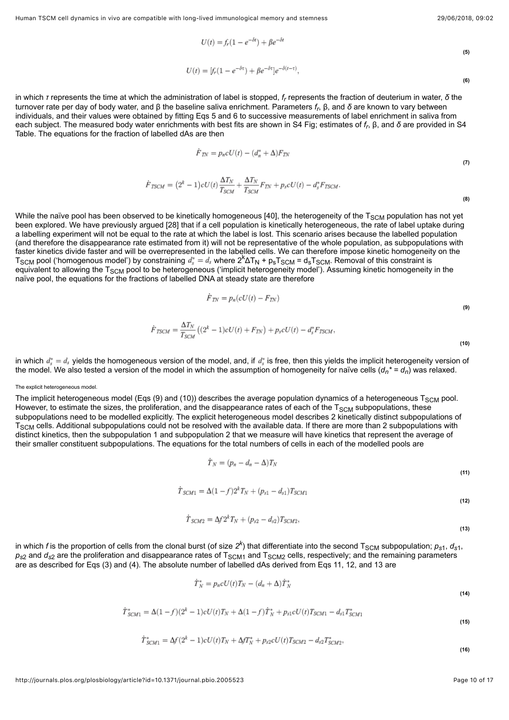$\dot{F}$ 

**(6)**

$$
U(t) = f_r(1 - e^{-\delta t}) + \beta e^{-\delta t}
$$
\n<sup>(5)</sup>

$$
U(t) = [f_r(1 - e^{-\delta \tau}) + \beta e^{-\delta \tau}]e^{-\delta(t - \tau)},
$$

<span id="page-9-1"></span><span id="page-9-0"></span>in which *τ* represents the time at which the administration of label is stopped, *f<sub>r</sub>* represents the fraction of deuterium in water, *δ* the turnover rate per day of body water, and β the baseline saliva enrichment. Parameters *f<sub>r</sub>*, β, and *δ* are known to vary between individuals, and their values were obtained by fitting Eqs [5](#page-9-0) and [6](#page-9-1) to successive measurements of label enrichment in saliva from [each subject. The measured body water enrichments with best fits are shown in](#page-12-11) [S4 Fig](#page-11-3)[; estimates of](#page-12-11) *f<sub>r</sub>*, β, and *δ* are provided in S4 Table. The equations for the fraction of labelled dAs are then

$$
\dot{F}_{T\!N} = p_n c U(t) - (d_n^* + \Delta) F_{T\!N}
$$

**(7)**

**(8)**

**(10)**

$$
TSCM = (2k - 1)cU(t)\frac{\Delta I_N}{T_{SCM}} + \frac{\Delta I_N}{T_{SCM}}F_{TN} + p_{s}cU(t) - d_{s}^{*}F_{TSCM}.
$$

While the naïve pool has been observed to be kinetically homogeneous [\[40](#page-15-0)], the heterogeneity of the T $_{\rm SCM}$  population has not yet been explored. We have previously argued [\[28\]](#page-14-3) that if a cell population is kinetically heterogeneous, the rate of label uptake during a labelling experiment will not be equal to the rate at which the label is lost. This scenario arises because the labelled population (and therefore the disappearance rate estimated from it) will not be representative of the whole population, as subpopulations with faster kinetics divide faster and will be overrepresented in the labelled cells. We can therefore impose kinetic homogeneity on the  $T_{\rm SCM}$  pool ('homogenous model') by constraining  $\,d^*_s=d_s$  where  $2^k\Delta T_N$  +  $p_{\rm s}T_{\rm SCM}$  =  $d_{\rm s}T_{\rm SCM}$ . Removal of this constraint is equivalent to allowing the T<sub>SCM</sub> pool to be heterogeneous ('implicit heterogeneity model'). Assuming kinetic homogeneity in the naïve pool, the equations for the fractions of labelled DNA at steady state are therefore

$$
\dot{F}_{TN} = p_n(cU(t) - F_{TN})
$$
\n
$$
\dot{F}_{TSCM} = \frac{\Delta T_N}{T_{SCM}} \left( (2^k - 1)cU(t) + F_{TN} \right) + p_s cU(t) - d_s^* F_{TSCM},
$$
\n(9)

<span id="page-9-3"></span><span id="page-9-2"></span>in which  $d_{\epsilon}^* = d_{\delta}$  yields the homogeneous version of the model, and, if  $d_{\epsilon}^*$  is free, then this yields the implicit heterogeneity version of the model. We also tested a version of the model in which the assumption of homogeneity for naïve cells ( $d_{\eta}{}^*$  =  $d_{\eta}$ ) was relaxed.

#### The explicit heterogeneous model.

<span id="page-9-4"></span>The implicit heterogeneous model (Eqs ([9\)](#page-9-2) and [\(10](#page-9-3))) describes the average population dynamics of a heterogeneous T $_{\rm SCM}$  pool. However, to estimate the sizes, the proliferation, and the disappearance rates of each of the  ${\rm T_{SCM}}$  subpopulations, these subpopulations need to be modelled explicitly. The explicit heterogeneous model describes 2 kinetically distinct subpopulations of  ${\rm T_{SCM}}$  cells. Additional subpopulations could not be resolved with the available data. If there are more than 2 subpopulations with distinct kinetics, then the subpopulation 1 and subpopulation 2 that we measure will have kinetics that represent the average of their smaller constituent subpopulations. The equations for the total numbers of cells in each of the modelled pools are

$$
T_N = (p_n - d_n - \Delta) T_N \tag{11}
$$

$$
{\dot{T}}_{SCM1}=\Delta(1-f)2^{k}T_{N}+(p_{s1}-d_{s1})T_{SCM1}
$$

$$
\dot{T}_{SCM2} = \Delta f 2^{k} T_{N} + (p_{s2} - d_{s2}) T_{SCM2},
$$

**(13)**

**(14)**

**(15)**

**(12)**

<span id="page-9-6"></span><span id="page-9-5"></span>in which *f* is the proportion of cells from the clonal burst (of size  $2^k$ ) that differentiate into the second T<sub>SCM</sub> subpopulation;  $\rho_{s1}$ ,  $d_{s1}$ ,  $\rho_{s2}$  and  $d_{s2}$  are the proliferation and disappearance rates of T $_{\rm SCM1}$  and T $_{\rm SCM2}$  cells, respectively; and the remaining parameters are as described for Eqs [\(3\)](#page-8-2) and ([4](#page-8-3)). The absolute number of labelled dAs derived from Eqs [11](#page-9-4), [12,](#page-9-5) and [13](#page-9-6) are

$$
\dot{T}_N^* = p_n c U(t) T_N - (d_n + \Delta) \dot{T}_N^*
$$

$$
\dot{T}_{SCM1}^* = \Delta(1-f)(2^k-1)cU(t)T_N + \Delta(1-f)\dot{T}_N^* + p_{s1}cU(t)T_{SCM1} - d_{s1}T_{SCM1}^*
$$

$$
f_{\mathcal{A}}(x,y)=\mathcal{A}(x,y)=\mathcal{A}(x,y)=\mathcal{A}(x,y)=\mathcal{A}(x,y)=\mathcal{A}(x,y)=\mathcal{A}(x,y)=\mathcal{A}(x,y)=\mathcal{A}(x,y)=\mathcal{A}(x,y)=\mathcal{A}(x,y)=\mathcal{A}(x,y)=\mathcal{A}(x,y)=\mathcal{A}(x,y)=\mathcal{A}(x,y)=\mathcal{A}(x,y)=\mathcal{A}(x,y)=\mathcal{A}(x,y)=\mathcal{A}(x,y)=\mathcal{A}(x,y)=\mathcal{A}(x,y)=\mathcal{A}(x,y)=\mathcal{A}(x,y)=\mathcal{A}(x,y)=\mathcal{A}(x,y)=\mathcal{A}(x,y)=\mathcal{A}(x,y)=\mathcal{A}(x,y)=\mathcal{A}(x,y)=\mathcal{A}(x,y)=\mathcal{A}(x,y)=\mathcal{A}(x,y)=\mathcal{A}(x,y)=\mathcal{A}(x,y)=\mathcal{A}(x,y)=\mathcal{A}(x,y)=\mathcal{A}(x,y)=\mathcal{A}(x,y)=\mathcal{A}(x,y)=\mathcal{A}(x,y)=\mathcal{A}(x,y)=\mathcal{A}(x,y)=\mathcal{A}(x,y)=\mathcal{A}(x,y)=\mathcal{A}(x,y)=\mathcal{A}(x,y)=\mathcal{A}(x,y)=\mathcal{A}(x,y)=\mathcal{A}(x,y)=\mathcal{A}(x,y)=\mathcal{A}(x,y)=\mathcal{A}(x,y)=\mathcal{A}(x,y)=\mathcal{A}(x,y)=\mathcal{A}(x,y)=\mathcal{A}(x,y)=\mathcal{A}(x,y)=\mathcal{A}(x,y)=\mathcal{A}(x,y)=\mathcal{A}(x,y)=\mathcal{A}(x,y)=\mathcal{A}(x,y)=\mathcal{A}(x,y)=\mathcal{A}(x,y)=\mathcal{A}(x,y)=\mathcal{A}(x,y)=\mathcal{A}(x,y)=\mathcal{A}(x,y)=\mathcal{A}(x,y)=\mathcal{A}(x,y)=\mathcal{A}(x,y)=\mathcal{A}(x,y)=\mathcal{A}(x,y)=\mathcal{A}(x,y)=\mathcal{A}(x,y)=\mathcal{A}(x,y)=\mathcal{A}(x,y)=\mathcal{A}(x,y)=\mathcal{A}(x,y)=\mathcal{A}(x,y)=\mathcal{A}(x,y)=\mathcal{A}(x,y)=\mathcal{A}(x,y)=\mathcal{A}(x,y)=
$$

$$
T_{SCM1} = \Delta f (2^{\sim} - 1)cU(t)T_N + \Delta f T_N + p_{s2}cU(t)T_{SCM2} - d_{s2}T_{SCM2},
$$
\n(16)

 $1 - 2 - k$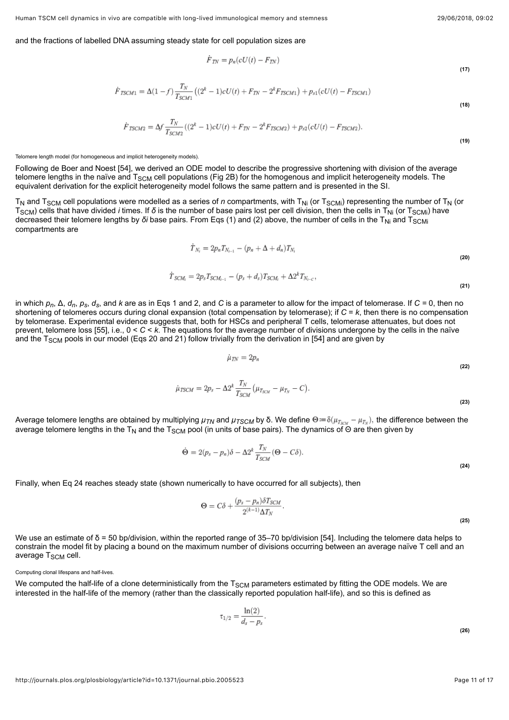**(17)**

#### and the fractions of labelled DNA assuming steady state for cell population sizes are

$$
\dot{F}_{TN} = p_n(cU(t) - F_{TN})
$$

$$
\dot{F}_{TSCM1} = \Delta(1-f)\frac{T_N}{T_{SCM1}}\left((2^k - 1)cU(t) + F_{TN} - 2^k F_{TSCM1}\right) + p_{s1}(cU(t) - F_{TSCM1})\tag{18}
$$

$$
\dot{F}_{TSCM2} = \Delta f \frac{T_N}{T_{SCM2}} \left( (2^k - 1)cU(t) + F_{TN} - 2^k F_{TSCM2} \right) + p_{s2} (cU(t) - F_{TSCM2}).
$$
\n(19)

Telomere length model (for homogeneous and implicit heterogeneity models).

Following de Boer and Noest [\[54](#page-15-12)], we derived an ODE model to describe the progressive shortening with division of the average telomere lengths in the naïve and T $_{\rm SCM}$  cell populations ([Fig 2B\)](#page-2-1) for the homogenous and implicit heterogeneity models. The equivalent derivation for the explicit heterogeneity model follows the same pattern and is presented in the SI.

<span id="page-10-0"></span> ${\sf T}_{\sf N}$  and  ${\sf T}_{\sf SCM}$  cell populations were modelled as a series of *n* compartments, with  ${\sf T}_{\sf Ni}$  (or  ${\sf T}_{\sf SCMi}$ ) representing the number of  ${\sf T}_{\sf N}$  (or  $\rm{T_{SCM}}$ ) cells that have divided *i* times. If *δ* is the number of base pairs lost per cell division, then the cells in T<sub>Ni</sub> (or T<sub>SCMi</sub>) have decreased their telomere lengths by *δi* base pairs. From Eqs ([1\)](#page-8-0) and [\(2](#page-8-1)) above, the number of cells in the T<sub>Ni</sub> and T<sub>SCMi</sub> compartments are

$$
T_{N_i} = 2p_n T_{N_{i-1}} - (p_n + \Delta + d_n) T_{N_i}
$$
  
\n
$$
\dot{T}_{SCM_i} = 2p_s T_{SCM_{i-1}} - (p_s + d_s) T_{SCM_i} + \Delta 2^k T_{N_{i-C}},
$$
\n(21)

<span id="page-10-1"></span>in which *p<sub>n</sub>*, Δ, *d<sub>n</sub>, p<sub>s</sub>, d<sub>s</sub>, and <i>k* are as in Eqs [1](#page-8-0) and [2](#page-8-1), and *C* is a parameter to allow for the impact of telomerase. If *C* = 0, then no shortening of telomeres occurs during clonal expansion (total compensation by telomerase); if *C* = *k*, then there is no compensation by telomerase. Experimental evidence suggests that, both for HSCs and peripheral T cells, telomerase attenuates, but does not prevent, telomere loss [[55](#page-15-13)], i.e., 0 < *C* < *k*. The equations for the average number of divisions undergone by the cells in the naïve and the T<sub>SCM</sub> pools in our model (Eqs [20](#page-10-0) and [21\)](#page-10-1) follow trivially from the derivation in [[54\]](#page-15-12) and are given by

$$
\dot{\mu}_{\text{TN}} = 2p_n
$$

$$
\dot{\mu}_{TSCM} = 2p_s - \Delta 2^k \frac{T_N}{T_{SCM}} \left( \mu_{T_{SCM}} - \mu_{T_N} - C \right).
$$

**(23)**

**(22)**

<span id="page-10-2"></span>Average telomere lengths are obtained by multiplying μ<sub>TN</sub> and μ<sub>TSCM</sub> by δ. We define Θ≔δ(μ<sub>Τscм</sub> – μ<sub>Tx</sub>), the difference between the average telomere lengths in the T<sub>N</sub> and the T<sub>SCM</sub> pool (in units of base pairs). The dynamics of Θ are then given by

$$
\dot{\Theta} = 2(p_s - p_n)\delta - \Delta 2^k \frac{T_N}{T_{SCM}} (\Theta - C\delta).
$$
\n(24)

Finally, when [Eq 24](#page-10-2) reaches steady state (shown numerically to have occurred for all subjects), then

$$
\Theta = C\delta + \frac{(p_s - p_n)\delta T_{SCM}}{2^{(k-1)}\Delta T_N}.
$$

We use an estimate of δ = 50 bp/division, within the reported range of 35–70 bp/division [\[54](#page-15-12)]. Including the telomere data helps to constrain the model fit by placing a bound on the maximum number of divisions occurring between an average naïve T cell and an average T<sub>SCM</sub> cell.

Computing clonal lifespans and half-lives.

We computed the half-life of a clone deterministically from the T $_{\rm SCM}$  parameters estimated by fitting the ODE models. We are interested in the half-life of the memory (rather than the classically reported population half-life), and so this is defined as

$$
\tau_{1/2}=\frac{\ln(2)}{d_s-p_s}.
$$

**(26)**

**(25)**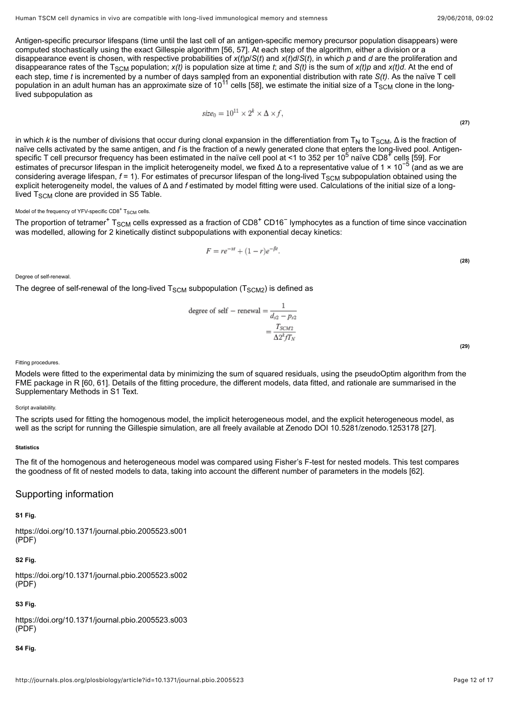Antigen-specific precursor lifespans (time until the last cell of an antigen-specific memory precursor population disappears) were computed stochastically using the exact Gillespie algorithm [\[56,](#page-15-14) [57\]](#page-15-15). At each step of the algorithm, either a division or a disappearance event is chosen, with respective probabilities of *x*(*t*)*p*/*S*(*t*) and *x*(*t*)*d*/*S*(*t*), in which *p* and *d* are the proliferation and disappearance rates of the T<sub>SCM</sub> population; *x(t)* is population size at time *t*; and *S(t)* is the sum of *x(t)p* and *x(t)d*. At the end of each step, time *t* is incremented by a number of days sampled from an exponential distribution with rate *S(t)*. As the naïve T cell population in an adult human has an approximate size of  $10^{11}$  cells [\[58](#page-16-0)], we estimate the initial size of a  $T_{SCM}$  clone in the longlived subpopulation as

$$
size_0 = 10^{11} \times 2^k \times \Delta \times f,
$$
\n(27)

in which *k* is the number of divisions that occur during clonal expansion in the differentiation from T<sub>N</sub> to T<sub>SCM</sub>, Δ is the fraction of naïve cells activated by the same antigen, and *f* is the fraction of a newly generated clone that enters the long-lived pool. Antigen-specific T cell precursor frequency has been estimated in the naïve cell pool at <1 to 352 per 10<sup>5</sup> naïve CD8<sup>+</sup> cells [[59\]](#page-16-1). For estimates of precursor lifespan in the implicit heterogeneity model, we fixed Δ to a representative value of 1 × 10<sup>-5</sup> (and as we are considering average lifespan, *f* = 1). For estimates of precursor lifespan of the long-lived T<sub>SCM</sub> subpopulation obtained using the explicit heterogeneity model, the values of Δ and *f* estimated by model fitting were used. Calculations of the initial size of a longlived T<sub>SCM</sub> clone are provided in S5 Table.

#### Model of the frequency of YFV-specific  $CD8^+$  T $_{\rm SCM}$  cells.

The proportion of tetramer<sup>+</sup> T<sub>SCM</sub> cells expressed as a fraction of CD8<sup>+</sup> CD16<sup>-</sup> lymphocytes as a function of time since vaccination was modelled, allowing for 2 kinetically distinct subpopulations with exponential decay kinetics:

$$
F = re^{-\alpha t} + (1 - r)e^{-\beta t}.
$$

Degree of self-renewal.

The degree of self-renewal of the long-lived  ${\sf T}_{\sf SCM}$  subpopulation  $({\sf T}_{\sf SCM2})$  is defined as

degree of self – renewal = 
$$
\frac{1}{d_{s2} - p_{s2}} = \frac{T_{SCM2}}{\Delta 2^k f T_N}
$$

**(29)**

**(28)**

#### Fitting procedures.

Models were fitted to the experimental data by minimizing the sum of squared residuals, using the pseudoOptim algorithm from the FME package in R [\[60](#page-16-2), [61\]](#page-16-3). Details of the fitting procedure, the different models, data fitted, and rationale are summarised in the Supplementary Methods in [S1 Text.](#page-12-8)

#### Script availability.

The scripts used for fitting the homogenous model, the implicit heterogeneous model, and the explicit heterogeneous model, as well as the script for running the Gillespie simulation, are all freely available at Zenodo DOI [10.5281/zenodo.1253178](https://doi.org/10.5281/zenodo.1253178) [[27](#page-14-2)].

# **Statistics**

The fit of the homogenous and heterogeneous model was compared using Fisher's F-test for nested models. This test compares the goodness of fit of nested models to data, taking into account the different number of parameters in the models [\[62](#page-16-4)].

# Supporting information

### <span id="page-11-0"></span>**[S1 Fig.](http://journals.plos.org/plosbiology/article/file?type=supplementary&id=info:doi/10.1371/journal.pbio.2005523.s001)**

<https://doi.org/10.1371/journal.pbio.2005523.s001> (PDF)

# <span id="page-11-1"></span>**[S2 Fig.](http://journals.plos.org/plosbiology/article/file?type=supplementary&id=info:doi/10.1371/journal.pbio.2005523.s002)**

<https://doi.org/10.1371/journal.pbio.2005523.s002>  $(PDF)$ 

# <span id="page-11-2"></span>**[S3 Fig.](http://journals.plos.org/plosbiology/article/file?type=supplementary&id=info:doi/10.1371/journal.pbio.2005523.s003)**

<https://doi.org/10.1371/journal.pbio.2005523.s003> (PDF)

#### <span id="page-11-3"></span>**[S4 Fig.](http://journals.plos.org/plosbiology/article/file?type=supplementary&id=info:doi/10.1371/journal.pbio.2005523.s004)**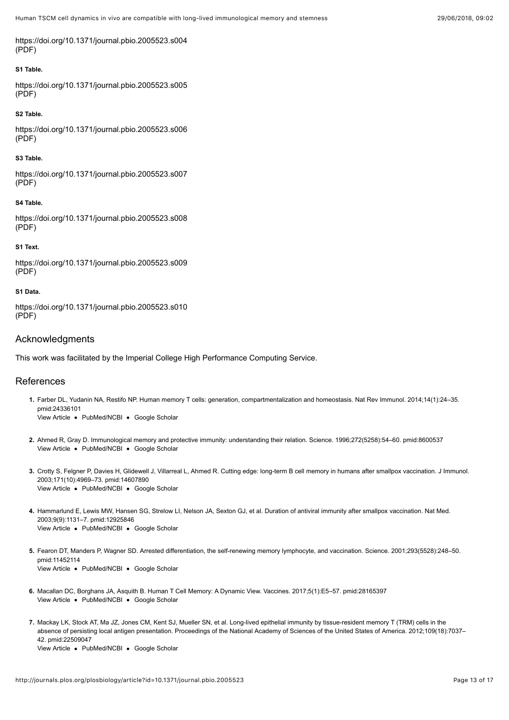<https://doi.org/10.1371/journal.pbio.2005523.s004> (PDF)

### <span id="page-12-6"></span>**[S1 Table.](http://journals.plos.org/plosbiology/article/file?type=supplementary&id=info:doi/10.1371/journal.pbio.2005523.s005)**

<https://doi.org/10.1371/journal.pbio.2005523.s005> (PDF)

#### <span id="page-12-9"></span>**[S2 Table.](http://journals.plos.org/plosbiology/article/file?type=supplementary&id=info:doi/10.1371/journal.pbio.2005523.s006)**

<https://doi.org/10.1371/journal.pbio.2005523.s006>  $(PDF)$ 

## <span id="page-12-10"></span>**[S3 Table.](http://journals.plos.org/plosbiology/article/file?type=supplementary&id=info:doi/10.1371/journal.pbio.2005523.s007)**

<https://doi.org/10.1371/journal.pbio.2005523.s007> (PDF)

# <span id="page-12-11"></span>**[S4 Table.](http://journals.plos.org/plosbiology/article/file?type=supplementary&id=info:doi/10.1371/journal.pbio.2005523.s008)**

<https://doi.org/10.1371/journal.pbio.2005523.s008> (PDF)

### <span id="page-12-8"></span>**[S1 Text.](http://journals.plos.org/plosbiology/article/file?type=supplementary&id=info:doi/10.1371/journal.pbio.2005523.s009)**

<https://doi.org/10.1371/journal.pbio.2005523.s009> (PDF)

### <span id="page-12-7"></span>**[S1 Data.](http://journals.plos.org/plosbiology/article/file?type=supplementary&id=info:doi/10.1371/journal.pbio.2005523.s010)**

<https://doi.org/10.1371/journal.pbio.2005523.s010> (PDF)

# Acknowledgments

This work was facilitated by the Imperial College High Performance Computing Service.

# References

- <span id="page-12-0"></span>[View Article](https://doi.org/10.1038/nri3567) · [PubMed/NCBI](http://www.ncbi.nlm.nih.gov/pubmed/24336101) · [Google Scholar](http://scholar.google.com/scholar?q=Human+memory+T+cells%3A+generation%2C+compartmentalization+and+homeostasis+Farber+2014) **1.** Farber DL, Yudanin NA, Restifo NP. Human memory T cells: generation, compartmentalization and homeostasis. Nat Rev Immunol. 2014;14(1):24–35. pmid:24336101
- <span id="page-12-1"></span>[View Article](http://journals.plos.org/plosbiology/article?id=10.1371/journal.pbio.2005523#) • [PubMed/NCBI](http://www.ncbi.nlm.nih.gov/pubmed/8600537) • [Google Scholar](http://scholar.google.com/scholar?q=Immunological+memory+and+protective+immunity%3A+understanding+their+relation+Ahmed+1996) **2.** Ahmed R, Gray D. Immunological memory and protective immunity: understanding their relation. Science. 1996;272(5258):54–60. pmid:8600537
- <span id="page-12-2"></span>[View Article](http://journals.plos.org/plosbiology/article?id=10.1371/journal.pbio.2005523#) . [PubMed/NCBI](http://www.ncbi.nlm.nih.gov/pubmed/14607890) . [Google Scholar](http://scholar.google.com/scholar?q=Cutting+edge%3A+long-term+B+cell+memory+in+humans+after+smallpox+vaccination+Crotty+2003) **3.** Crotty S, Felgner P, Davies H, Glidewell J, Villarreal L, Ahmed R. Cutting edge: long-term B cell memory in humans after smallpox vaccination. J Immunol. 2003;171(10):4969–73. pmid:14607890
- <span id="page-12-3"></span>[View Article](https://doi.org/10.1038/nm917) • [PubMed/NCBI](http://www.ncbi.nlm.nih.gov/pubmed/12925846) • [Google Scholar](http://scholar.google.com/scholar?q=Duration+of+antiviral+immunity+after+smallpox+vaccination+Hammarlund+2003) **4.** Hammarlund E, Lewis MW, Hansen SG, Strelow LI, Nelson JA, Sexton GJ, et al. Duration of antiviral immunity after smallpox vaccination. Nat Med. 2003;9(9):1131–7. pmid:12925846
- <span id="page-12-4"></span>[View Article](https://doi.org/10.1126/science.1062589) • [PubMed/NCBI](http://www.ncbi.nlm.nih.gov/pubmed/11452114) • [Google Scholar](http://scholar.google.com/scholar?q=Arrested+differentiation%2C+the+self-renewing+memory+lymphocyte%2C+and+vaccination+Fearon+2001) **5.** Fearon DT, Manders P, Wagner SD. Arrested differentiation, the self-renewing memory lymphocyte, and vaccination. Science. 2001;293(5528):248–50. pmid:11452114
- <span id="page-12-5"></span>[View Article](https://doi.org/10.3390/vaccines5010005) · [PubMed/NCBI](http://www.ncbi.nlm.nih.gov/pubmed/28165397) · [Google Scholar](http://scholar.google.com/scholar?q=Human+T+Cell+Memory%3A+A+Dynamic+View+Macallan+2017) **6.** Macallan DC, Borghans JA, Asquith B. Human T Cell Memory: A Dynamic View. Vaccines. 2017;5(1):E5–57. pmid:28165397
- **7.** Mackay LK, Stock AT, Ma JZ, Jones CM, Kent SJ, Mueller SN, et al. Long-lived epithelial immunity by tissue-resident memory T (TRM) cells in the absence of persisting local antigen presentation. Proceedings of the National Academy of Sciences of the United States of America. 2012;109(18):7037– 42. pmid:22509047

[View Article](https://doi.org/10.1073/pnas.1202288109) · [PubMed/NCBI](http://www.ncbi.nlm.nih.gov/pubmed/22509047) · [Google Scholar](http://scholar.google.com/scholar?q=Long-lived+epithelial+immunity+by+tissue-resident+memory+T+%28TRM%29+cells+in+the+absence+of+persisting+local+antigen+presentation+Mackay+2012)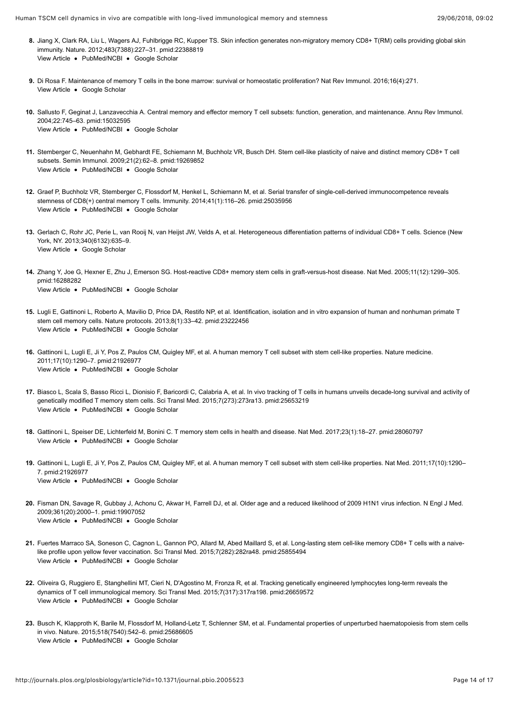- [View Article](https://doi.org/10.1038/nature10851) · [PubMed/NCBI](http://www.ncbi.nlm.nih.gov/pubmed/22388819) · [Google Scholar](http://scholar.google.com/scholar?q=Skin+infection+generates+non-migratory+memory+CD8%2B+T%28RM%29+cells+providing+global+skin+immunity+Jiang+2012) **8.** Jiang X, Clark RA, Liu L, Wagers AJ, Fuhlbrigge RC, Kupper TS. Skin infection generates non-migratory memory CD8+ T(RM) cells providing global skin immunity. Nature. 2012;483(7388):227–31. pmid:22388819
- <span id="page-13-0"></span>[View Article](http://journals.plos.org/plosbiology/article?id=10.1371/journal.pbio.2005523#) . [Google Scholar](http://scholar.google.com/scholar?q=Maintenance+of+memory+T+cells+in+the+bone+marrow%3A+survival+or+homeostatic+proliferation%3F+Di+Rosa+2016) **9.** Di Rosa F. Maintenance of memory T cells in the bone marrow: survival or homeostatic proliferation? Nat Rev Immunol. 2016;16(4):271.
- <span id="page-13-1"></span>[View Article](https://doi.org/10.1146/annurev.immunol.22.012703.104702) · [PubMed/NCBI](http://www.ncbi.nlm.nih.gov/pubmed/15032595) · [Google Scholar](http://scholar.google.com/scholar?q=Central+memory+and+effector+memory+T+cell+subsets%3A+function%2C+generation%2C+and+maintenance+Sallusto+2004) **10.** Sallusto F, Geginat J, Lanzavecchia A. Central memory and effector memory T cell subsets: function, generation, and maintenance. Annu Rev Immunol. 2004;22:745–63. pmid:15032595
- <span id="page-13-2"></span>[View Article](https://doi.org/10.1016/j.smim.2009.02.004) . [PubMed/NCBI](http://www.ncbi.nlm.nih.gov/pubmed/19269852) . [Google Scholar](http://scholar.google.com/scholar?q=Stem+cell-like+plasticity+of+naive+and+distinct+memory+CD8%2B+T+cell+subsets+Stemberger+2009) **11.** Stemberger C, Neuenhahn M, Gebhardt FE, Schiemann M, Buchholz VR, Busch DH. Stem cell-like plasticity of naive and distinct memory CD8+ T cell subsets. Semin Immunol. 2009;21(2):62–8. pmid:19269852
- <span id="page-13-3"></span>[View Article](https://doi.org/10.1016/j.immuni.2014.05.018) • [PubMed/NCBI](http://www.ncbi.nlm.nih.gov/pubmed/25035956) • [Google Scholar](http://scholar.google.com/scholar?q=Serial+transfer+of+single-cell-derived+immunocompetence+reveals+stemness+of+CD8%28%2B%29+central+memory+T+cells+Graef+2014) **12.** Graef P, Buchholz VR, Stemberger C, Flossdorf M, Henkel L, Schiemann M, et al. Serial transfer of single-cell-derived immunocompetence reveals stemness of CD8(+) central memory T cells. Immunity. 2014;41(1):116–26. pmid:25035956
- <span id="page-13-4"></span>[View Article](http://journals.plos.org/plosbiology/article?id=10.1371/journal.pbio.2005523#) . [Google Scholar](http://scholar.google.com/scholar?q=Heterogeneous+differentiation+patterns+of+individual+CD8%2B+T+cells+Gerlach+2013) **13.** Gerlach C, Rohr JC, Perie L, van Rooij N, van Heijst JW, Velds A, et al. Heterogeneous differentiation patterns of individual CD8+ T cells. Science (New York, NY. 2013;340(6132):635–9.
- <span id="page-13-5"></span>[View Article](https://doi.org/10.1038/nm1326) . [PubMed/NCBI](http://www.ncbi.nlm.nih.gov/pubmed/16288282) . [Google Scholar](http://scholar.google.com/scholar?q=Host-reactive+CD8%2B+memory+stem+cells+in+graft-versus-host+disease+Zhang+2005) **14.** Zhang Y, Joe G, Hexner E, Zhu J, Emerson SG. Host-reactive CD8+ memory stem cells in graft-versus-host disease. Nat Med. 2005;11(12):1299–305. pmid:16288282
- <span id="page-13-6"></span>[View Article](https://doi.org/10.1038/nprot.2012.143) • [PubMed/NCBI](http://www.ncbi.nlm.nih.gov/pubmed/23222456) • [Google Scholar](http://scholar.google.com/scholar?q=Identification%2C+isolation+and+in+vitro+expansion+of+human+and+nonhuman+primate+T+stem+cell+memory+cells+Lugli+2013) **15.** Lugli E, Gattinoni L, Roberto A, Mavilio D, Price DA, Restifo NP, et al. Identification, isolation and in vitro expansion of human and nonhuman primate T stem cell memory cells. Nature protocols. 2013;8(1):33–42. pmid:23222456
- <span id="page-13-7"></span>[View Article](https://doi.org/10.1038/nm.2446) · [PubMed/NCBI](http://www.ncbi.nlm.nih.gov/pubmed/21926977) · [Google Scholar](http://scholar.google.com/scholar?q=A+human+memory+T+cell+subset+with+stem+cell-like+properties+Gattinoni+2011) **16.** Gattinoni L, Lugli E, Ji Y, Pos Z, Paulos CM, Quigley MF, et al. A human memory T cell subset with stem cell-like properties. Nature medicine. 2011;17(10):1290–7. pmid:21926977
- <span id="page-13-11"></span>[View Article](https://doi.org/10.1126/scitranslmed.3010314) · [PubMed/NCBI](http://www.ncbi.nlm.nih.gov/pubmed/25653219) · [Google Scholar](http://scholar.google.com/scholar?q=In+vivo+tracking+of+T+cells+in+humans+unveils+decade-long+survival+and+activity+of+genetically+modified+T+memory+stem+cells+Biasco+2015) **17.** Biasco L, Scala S, Basso Ricci L, Dionisio F, Baricordi C, Calabria A, et al. In vivo tracking of T cells in humans unveils decade-long survival and activity of genetically modified T memory stem cells. Sci Transl Med. 2015;7(273):273ra13. pmid:25653219
- <span id="page-13-8"></span>[View Article](https://doi.org/10.1038/nm.4241) · [PubMed/NCBI](http://www.ncbi.nlm.nih.gov/pubmed/28060797) · [Google Scholar](http://scholar.google.com/scholar?q=T+memory+stem+cells+in+health+and+disease+Gattinoni+2017) **18.** Gattinoni L, Speiser DE, Lichterfeld M, Bonini C. T memory stem cells in health and disease. Nat Med. 2017;23(1):18–27. pmid:28060797
- <span id="page-13-9"></span>[View Article](https://doi.org/10.1038/nm.2446) • [PubMed/NCBI](http://www.ncbi.nlm.nih.gov/pubmed/21926977) • [Google Scholar](http://scholar.google.com/scholar?q=A+human+memory+T+cell+subset+with+stem+cell-like+properties+Gattinoni+2011) **19.** Gattinoni L, Lugli E, Ji Y, Pos Z, Paulos CM, Quigley MF, et al. A human memory T cell subset with stem cell-like properties. Nat Med. 2011;17(10):1290– 7. pmid:21926977
- <span id="page-13-10"></span>[View Article](https://doi.org/10.1056/NEJMc0907256) • [PubMed/NCBI](http://www.ncbi.nlm.nih.gov/pubmed/19907052) • [Google Scholar](http://scholar.google.com/scholar?q=Older+age+and+a+reduced+likelihood+of+2009+H1N1+virus+infection+Fisman+2009) **20.** Fisman DN, Savage R, Gubbay J, Achonu C, Akwar H, Farrell DJ, et al. Older age and a reduced likelihood of 2009 H1N1 virus infection. N Engl J Med. 2009;361(20):2000–1. pmid:19907052
- <span id="page-13-12"></span>[View Article](https://doi.org/10.1126/scitranslmed.aaa3700) · [PubMed/NCBI](http://www.ncbi.nlm.nih.gov/pubmed/25855494) · [Google Scholar](http://scholar.google.com/scholar?q=Long-lasting+stem+cell-like+memory+CD8%2B+T+cells+with+a+naive-like+profile+upon+yellow+fever+vaccination+Fuertes+Marraco+2015) **21.** Fuertes Marraco SA, Soneson C, Cagnon L, Gannon PO, Allard M, Abed Maillard S, et al. Long-lasting stem cell-like memory CD8+ T cells with a naivelike profile upon yellow fever vaccination. Sci Transl Med. 2015;7(282):282ra48. pmid:25855494
- <span id="page-13-13"></span>[View Article](https://doi.org/10.1126/scitranslmed.aac8265) · [PubMed/NCBI](http://www.ncbi.nlm.nih.gov/pubmed/26659572) · [Google Scholar](http://scholar.google.com/scholar?q=Tracking+genetically+engineered+lymphocytes+long-term+reveals+the+dynamics+of+T+cell+immunological+memory+Oliveira+2015) **22.** Oliveira G, Ruggiero E, Stanghellini MT, Cieri N, D'Agostino M, Fronza R, et al. Tracking genetically engineered lymphocytes long-term reveals the dynamics of T cell immunological memory. Sci Transl Med. 2015;7(317):317ra198. pmid:26659572
- <span id="page-13-14"></span>[View Article](https://doi.org/10.1038/nature14242) • [PubMed/NCBI](http://www.ncbi.nlm.nih.gov/pubmed/25686605) • [Google Scholar](http://scholar.google.com/scholar?q=Fundamental+properties+of+unperturbed+haematopoiesis+from+stem+cells+in+vivo+Busch+2015) **23.** Busch K, Klapproth K, Barile M, Flossdorf M, Holland-Letz T, Schlenner SM, et al. Fundamental properties of unperturbed haematopoiesis from stem cells in vivo. Nature. 2015;518(7540):542–6. pmid:25686605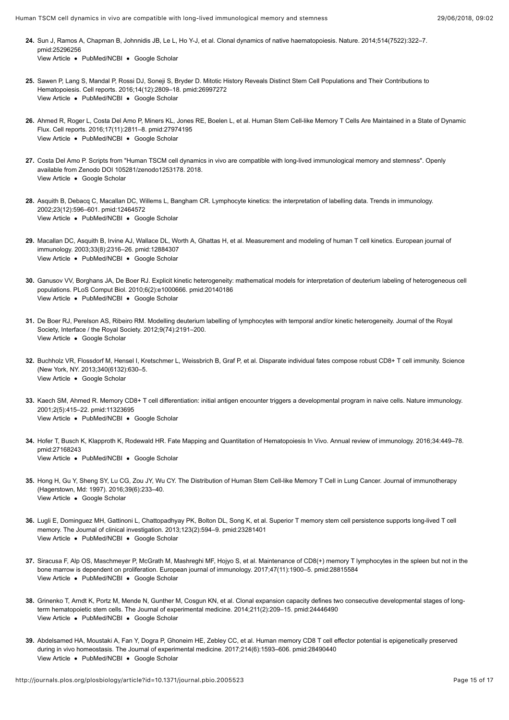- [View Article](https://doi.org/10.1038/nature13824) · [PubMed/NCBI](http://www.ncbi.nlm.nih.gov/pubmed/25296256) · [Google Scholar](http://scholar.google.com/scholar?q=Clonal+dynamics+of+native+haematopoiesis+Sun+2014) **24.** Sun J, Ramos A, Chapman B, Johnnidis JB, Le L, Ho Y-J, et al. Clonal dynamics of native haematopoiesis. Nature. 2014;514(7522):322–7. pmid:25296256
- <span id="page-14-0"></span>[View Article](https://doi.org/10.1016/j.celrep.2016.02.073) . [PubMed/NCBI](http://www.ncbi.nlm.nih.gov/pubmed/26997272) . [Google Scholar](http://scholar.google.com/scholar?q=Mitotic+History+Reveals+Distinct+Stem+Cell+Populations+and+Their+Contributions+to+Hematopoiesis+Sawen+2016) **25.** Sawen P, Lang S, Mandal P, Rossi DJ, Soneji S, Bryder D. Mitotic History Reveals Distinct Stem Cell Populations and Their Contributions to Hematopoiesis. Cell reports. 2016;14(12):2809–18. pmid:26997272
- <span id="page-14-1"></span>[View Article](https://doi.org/10.1016/j.celrep.2016.11.037) . [PubMed/NCBI](http://www.ncbi.nlm.nih.gov/pubmed/27974195) . [Google Scholar](http://scholar.google.com/scholar?q=Human+Stem+Cell-like+Memory+T+Cells+Are+Maintained+in+a+State+of+Dynamic+Flux+Ahmed+2016) **26.** Ahmed R, Roger L, Costa Del Amo P, Miners KL, Jones RE, Boelen L, et al. Human Stem Cell-like Memory T Cells Are Maintained in a State of Dynamic Flux. Cell reports. 2016;17(11):2811–8. pmid:27974195
- <span id="page-14-2"></span>[View Article](http://journals.plos.org/plosbiology/article?id=10.1371/journal.pbio.2005523#) [Google Scholar](http://scholar.google.com/scholar?q=Scripts+from+%26quot%3BHuman+TSCM+cell+dynamics+in+vivo+are+compatible+with+long-lived+immunological+memory+and+stemness%26quot%3B+Costa+Del+Amo+2018) **27.** Costa Del Amo P. Scripts from "Human TSCM cell dynamics in vivo are compatible with long-lived immunological memory and stemness". Openly available from Zenodo DOI 105281/zenodo1253178. 2018.
- <span id="page-14-3"></span>[View Article](http://journals.plos.org/plosbiology/article?id=10.1371/journal.pbio.2005523#) · [PubMed/NCBI](http://www.ncbi.nlm.nih.gov/pubmed/12464572) · [Google Scholar](http://scholar.google.com/scholar?q=Lymphocyte+kinetics%3A+the+interpretation+of+labelling+data+Asquith+2002) **28.** Asquith B, Debacq C, Macallan DC, Willems L, Bangham CR. Lymphocyte kinetics: the interpretation of labelling data. Trends in immunology. 2002;23(12):596–601. pmid:12464572
- <span id="page-14-14"></span>[View Article](https://doi.org/10.1002/eji.200323763) • [PubMed/NCBI](http://www.ncbi.nlm.nih.gov/pubmed/12884307) • [Google Scholar](http://scholar.google.com/scholar?q=Measurement+and+modeling+of+human+T+cell+kinetics+Macallan+2003) **29.** Macallan DC, Asquith B, Irvine AJ, Wallace DL, Worth A, Ghattas H, et al. Measurement and modeling of human T cell kinetics. European journal of immunology. 2003;33(8):2316–26. pmid:12884307
- <span id="page-14-4"></span>[View Article](https://doi.org/10.1371/journal.pcbi.1000666) · [PubMed/NCBI](http://www.ncbi.nlm.nih.gov/pubmed/20140186) · [Google Scholar](http://scholar.google.com/scholar?q=Explicit+kinetic+heterogeneity%3A+mathematical+models+for+interpretation+of+deuterium+labeling+of+heterogeneous+cell+populations+Ganusov+2010) **30.** Ganusov VV, Borghans JA, De Boer RJ. Explicit kinetic heterogeneity: mathematical models for interpretation of deuterium labeling of heterogeneous cell populations. PLoS Comput Biol. 2010;6(2):e1000666. pmid:20140186
- <span id="page-14-5"></span>[View Article](http://journals.plos.org/plosbiology/article?id=10.1371/journal.pbio.2005523#) [Google Scholar](http://scholar.google.com/scholar?q=Modelling+deuterium+labelling+of+lymphocytes+with+temporal+and%2For+kinetic+heterogeneity+De+Boer+2012) **31.** De Boer RJ, Perelson AS, Ribeiro RM. Modelling deuterium labelling of lymphocytes with temporal and/or kinetic heterogeneity. Journal of the Royal Society, Interface / the Royal Society. 2012;9(74):2191–200.
- <span id="page-14-6"></span>[View Article](http://journals.plos.org/plosbiology/article?id=10.1371/journal.pbio.2005523#) . [Google Scholar](http://scholar.google.com/scholar?q=Disparate+individual+fates+compose+robust+CD8%2B+T+cell+immunity+Buchholz+2013) **32.** Buchholz VR, Flossdorf M, Hensel I, Kretschmer L, Weissbrich B, Graf P, et al. Disparate individual fates compose robust CD8+ T cell immunity. Science (New York, NY. 2013;340(6132):630–5.
- <span id="page-14-7"></span>[View Article](https://doi.org/10.1038/87720) • [PubMed/NCBI](http://www.ncbi.nlm.nih.gov/pubmed/11323695) • [Google Scholar](http://scholar.google.com/scholar?q=Memory+CD8%2B+T+cell+differentiation%3A+initial+antigen+encounter+triggers+a+developmental+program+in+naive+cells+Kaech+2001) **33.** Kaech SM, Ahmed R. Memory CD8+ T cell differentiation: initial antigen encounter triggers a developmental program in naive cells. Nature immunology. 2001;2(5):415–22. pmid:11323695
- <span id="page-14-8"></span>[View Article](https://doi.org/10.1146/annurev-immunol-032414-112019) • [PubMed/NCBI](http://www.ncbi.nlm.nih.gov/pubmed/27168243) • [Google Scholar](http://scholar.google.com/scholar?q=Fate+Mapping+and+Quantitation+of+Hematopoiesis+In+Vivo+Hofer+2016) **34.** Hofer T, Busch K, Klapproth K, Rodewald HR. Fate Mapping and Quantitation of Hematopoiesis In Vivo. Annual review of immunology. 2016;34:449–78. pmid:27168243
- <span id="page-14-9"></span>[View Article](http://journals.plos.org/plosbiology/article?id=10.1371/journal.pbio.2005523#) . [Google Scholar](http://scholar.google.com/scholar?q=The+Distribution+of+Human+Stem+Cell-like+Memory+T+Cell+in+Lung+Cancer+Hong+2016) **35.** Hong H, Gu Y, Sheng SY, Lu CG, Zou JY, Wu CY. The Distribution of Human Stem Cell-like Memory T Cell in Lung Cancer. Journal of immunotherapy (Hagerstown, Md: 1997). 2016;39(6):233–40.
- <span id="page-14-10"></span>[View Article](https://doi.org/10.1172/JCI66327) · [PubMed/NCBI](http://www.ncbi.nlm.nih.gov/pubmed/23281401) · [Google Scholar](http://scholar.google.com/scholar?q=Superior+T+memory+stem+cell+persistence+supports+long-lived+T+cell+memory+Lugli+2013) **36.** Lugli E, Dominguez MH, Gattinoni L, Chattopadhyay PK, Bolton DL, Song K, et al. Superior T memory stem cell persistence supports long-lived T cell memory. The Journal of clinical investigation. 2013;123(2):594–9. pmid:23281401
- <span id="page-14-11"></span>[View Article](https://doi.org/10.1002/eji.201747063) • [PubMed/NCBI](http://www.ncbi.nlm.nih.gov/pubmed/28815584) • [Google Scholar](http://scholar.google.com/scholar?q=Maintenance+of+CD8%28%2B%29+memory+T+lymphocytes+in+the+spleen+but+not+in+the+bone+marrow+is+dependent+on+proliferation+Siracusa+2017) **37.** Siracusa F, Alp OS, Maschmeyer P, McGrath M, Mashreghi MF, Hojyo S, et al. Maintenance of CD8(+) memory T lymphocytes in the spleen but not in the bone marrow is dependent on proliferation. European journal of immunology. 2017;47(11):1900–5. pmid:28815584
- <span id="page-14-12"></span>[View Article](https://doi.org/10.1084/jem.20131115) · [PubMed/NCBI](http://www.ncbi.nlm.nih.gov/pubmed/24446490) · [Google Scholar](http://scholar.google.com/scholar?q=Clonal+expansion+capacity+defines+two+consecutive+developmental+stages+of+long-term+hematopoietic+stem+cells+Grinenko+2014) **38.** Grinenko T, Arndt K, Portz M, Mende N, Gunther M, Cosgun KN, et al. Clonal expansion capacity defines two consecutive developmental stages of longterm hematopoietic stem cells. The Journal of experimental medicine. 2014;211(2):209–15. pmid:24446490
- <span id="page-14-13"></span>[View Article](https://doi.org/10.1084/jem.20161760) · [PubMed/NCBI](http://www.ncbi.nlm.nih.gov/pubmed/28490440) · [Google Scholar](http://scholar.google.com/scholar?q=Human+memory+CD8+T+cell+effector+potential+is+epigenetically+preserved+during+in+vivo+homeostasis+Abdelsamed+2017) **39.** Abdelsamed HA, Moustaki A, Fan Y, Dogra P, Ghoneim HE, Zebley CC, et al. Human memory CD8 T cell effector potential is epigenetically preserved during in vivo homeostasis. The Journal of experimental medicine. 2017;214(6):1593–606. pmid:28490440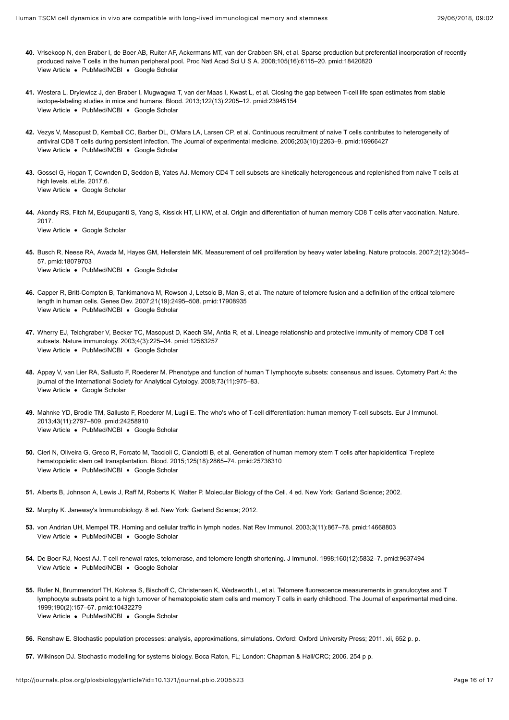- <span id="page-15-0"></span>[View Article](https://doi.org/10.1073/pnas.0709713105) • [PubMed/NCBI](http://www.ncbi.nlm.nih.gov/pubmed/18420820) • [Google Scholar](http://scholar.google.com/scholar?q=Sparse+production+but+preferential+incorporation+of+recently+produced+naive+T+cells+in+the+human+peripheral+pool+Vrisekoop+2008) **40.** Vrisekoop N, den Braber I, de Boer AB, Ruiter AF, Ackermans MT, van der Crabben SN, et al. Sparse production but preferential incorporation of recently produced naive T cells in the human peripheral pool. Proc Natl Acad Sci U S A. 2008;105(16):6115–20. pmid:18420820
- <span id="page-15-1"></span>[View Article](https://doi.org/10.1182/blood-2013-03-488411) • [PubMed/NCBI](http://www.ncbi.nlm.nih.gov/pubmed/23945154) • [Google Scholar](http://scholar.google.com/scholar?q=Closing+the+gap+between+T-cell+life+span+estimates+from+stable+isotope-labeling+studies+in+mice+and+humans+Westera+2013) **41.** Westera L, Drylewicz J, den Braber I, Mugwagwa T, van der Maas I, Kwast L, et al. Closing the gap between T-cell life span estimates from stable isotope-labeling studies in mice and humans. Blood. 2013;122(13):2205–12. pmid:23945154
- <span id="page-15-2"></span>[View Article](https://doi.org/10.1084/jem.20060995) • [PubMed/NCBI](http://www.ncbi.nlm.nih.gov/pubmed/16966427) • [Google Scholar](http://scholar.google.com/scholar?q=Continuous+recruitment+of+naive+T+cells+contributes+to+heterogeneity+of+antiviral+CD8+T+cells+during+persistent+infection+Vezys+2006) **42.** Vezys V, Masopust D, Kemball CC, Barber DL, O'Mara LA, Larsen CP, et al. Continuous recruitment of naive T cells contributes to heterogeneity of antiviral CD8 T cells during persistent infection. The Journal of experimental medicine. 2006;203(10):2263–9. pmid:16966427
- <span id="page-15-3"></span>[View Article](http://journals.plos.org/plosbiology/article?id=10.1371/journal.pbio.2005523#) . [Google Scholar](http://scholar.google.com/scholar?q=Memory+CD4+T+cell+subsets+are+kinetically+heterogeneous+and+replenished+from+naive+T+cells+at+high+levels+Gossel+2017) **43.** Gossel G, Hogan T, Cownden D, Seddon B, Yates AJ. Memory CD4 T cell subsets are kinetically heterogeneous and replenished from naive T cells at high levels. eLife. 2017;6.
- <span id="page-15-4"></span>[View Article](http://journals.plos.org/plosbiology/article?id=10.1371/journal.pbio.2005523#) . [Google Scholar](http://scholar.google.com/scholar?q=Origin+and+differentiation+of+human+memory+CD8+T+cells+after+vaccination+Akondy+2017) **44.** Akondy RS, Fitch M, Edupuganti S, Yang S, Kissick HT, Li KW, et al. Origin and differentiation of human memory CD8 T cells after vaccination. Nature. 2017.
- <span id="page-15-5"></span>[View Article](https://doi.org/10.1038/nprot.2007.420) . [PubMed/NCBI](http://www.ncbi.nlm.nih.gov/pubmed/18079703) . [Google Scholar](http://scholar.google.com/scholar?q=Measurement+of+cell+proliferation+by+heavy+water+labeling+Busch+2007) **45.** Busch R, Neese RA, Awada M, Hayes GM, Hellerstein MK. Measurement of cell proliferation by heavy water labeling. Nature protocols. 2007;2(12):3045– 57. pmid:18079703
- <span id="page-15-6"></span>[View Article](https://doi.org/10.1101/gad.439107) . [PubMed/NCBI](http://www.ncbi.nlm.nih.gov/pubmed/17908935) . [Google Scholar](http://scholar.google.com/scholar?q=The+nature+of+telomere+fusion+and+a+definition+of+the+critical+telomere+length+in+human+cells+Capper+2007) **46.** Capper R, Britt-Compton B, Tankimanova M, Rowson J, Letsolo B, Man S, et al. The nature of telomere fusion and a definition of the critical telomere length in human cells. Genes Dev. 2007;21(19):2495–508. pmid:17908935
- <span id="page-15-7"></span>[View Article](https://doi.org/10.1038/ni889) · [PubMed/NCBI](http://www.ncbi.nlm.nih.gov/pubmed/12563257) · [Google Scholar](http://scholar.google.com/scholar?q=Lineage+relationship+and+protective+immunity+of+memory+CD8+T+cell+subsets+Wherry+2003) **47.** Wherry EJ, Teichgraber V, Becker TC, Masopust D, Kaech SM, Antia R, et al. Lineage relationship and protective immunity of memory CD8 T cell subsets. Nature immunology. 2003;4(3):225–34. pmid:12563257
- <span id="page-15-8"></span>[View Article](http://journals.plos.org/plosbiology/article?id=10.1371/journal.pbio.2005523#) . [Google Scholar](http://scholar.google.com/scholar?q=Phenotype+and+function+of+human+T+lymphocyte+subsets%3A+consensus+and+issues+Appay+2008) **48.** Appay V, van Lier RA, Sallusto F, Roederer M. Phenotype and function of human T lymphocyte subsets: consensus and issues. Cytometry Part A: the journal of the International Society for Analytical Cytology. 2008;73(11):975–83.
- [View Article](https://doi.org/10.1002/eji.201343751) [PubMed/NCBI](http://www.ncbi.nlm.nih.gov/pubmed/24258910) [Google Scholar](http://scholar.google.com/scholar?q=The+who%26apos%3Bs+who+of+T-cell+differentiation%3A+human+memory+T-cell+subsets+Mahnke+2013) **49.** Mahnke YD, Brodie TM, Sallusto F, Roederer M, Lugli E. The who's who of T-cell differentiation: human memory T-cell subsets. Eur J Immunol. 2013;43(11):2797–809. pmid:24258910
- <span id="page-15-9"></span>[View Article](https://doi.org/10.1182/blood-2014-11-608539) . [PubMed/NCBI](http://www.ncbi.nlm.nih.gov/pubmed/25736310) . [Google Scholar](http://scholar.google.com/scholar?q=Generation+of+human+memory+stem+T+cells+after+haploidentical+T-replete+hematopoietic+stem+cell+transplantation+Cieri+2015) **50.** Cieri N, Oliveira G, Greco R, Forcato M, Taccioli C, Cianciotti B, et al. Generation of human memory stem T cells after haploidentical T-replete hematopoietic stem cell transplantation. Blood. 2015;125(18):2865–74. pmid:25736310
- <span id="page-15-10"></span>**51.** Alberts B, Johnson A, Lewis J, Raff M, Roberts K, Walter P. Molecular Biology of the Cell. 4 ed. New York: Garland Science; 2002.
- **52.** Murphy K. Janeway's Immunobiology. 8 ed. New York: Garland Science; 2012.
- <span id="page-15-11"></span>[View Article](https://doi.org/10.1038/nri1222) . [PubMed/NCBI](http://www.ncbi.nlm.nih.gov/pubmed/14668803) . [Google Scholar](http://scholar.google.com/scholar?q=Homing+and+cellular+traffic+in+lymph+nodes+von+Andrian+2003) **53.** von Andrian UH, Mempel TR. Homing and cellular traffic in lymph nodes. Nat Rev Immunol. 2003;3(11):867–78. pmid:14668803
- <span id="page-15-12"></span>[View Article](http://journals.plos.org/plosbiology/article?id=10.1371/journal.pbio.2005523#) • [PubMed/NCBI](http://www.ncbi.nlm.nih.gov/pubmed/9637494) • [Google Scholar](http://scholar.google.com/scholar?q=T+cell+renewal+rates%2C+telomerase%2C+and+telomere+length+shortening+De+Boer+1998) **54.** De Boer RJ, Noest AJ. T cell renewal rates, telomerase, and telomere length shortening. J Immunol. 1998;160(12):5832–7. pmid:9637494
- <span id="page-15-13"></span>[View Article](http://journals.plos.org/plosbiology/article?id=10.1371/journal.pbio.2005523#) • [PubMed/NCBI](http://www.ncbi.nlm.nih.gov/pubmed/10432279) • [Google Scholar](http://scholar.google.com/scholar?q=Telomere+fluorescence+measurements+in+granulocytes+and+T+lymphocyte+subsets+point+to+a+high+turnover+of+hematopoietic+stem+cells+and+memory+T+cells+in+early+childhood+Rufer+1999) **55.** Rufer N, Brummendorf TH, Kolvraa S, Bischoff C, Christensen K, Wadsworth L, et al. Telomere fluorescence measurements in granulocytes and T lymphocyte subsets point to a high turnover of hematopoietic stem cells and memory T cells in early childhood. The Journal of experimental medicine. 1999;190(2):157–67. pmid:10432279
- <span id="page-15-14"></span>**56.** Renshaw E. Stochastic population processes: analysis, approximations, simulations. Oxford: Oxford University Press; 2011. xii, 652 p. p.
- <span id="page-15-15"></span>**57.** Wilkinson DJ. Stochastic modelling for systems biology. Boca Raton, FL; London: Chapman & Hall/CRC; 2006. 254 p p.